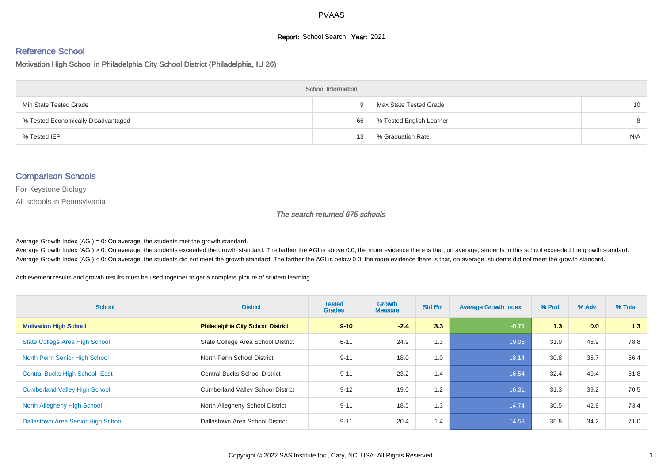#### **Report:** School Search **Year:** 2021

# Reference School

Motivation High School in Philadelphia City School District (Philadelphia, IU 26)

| <b>School Information</b>           |    |                          |                 |  |  |  |  |  |
|-------------------------------------|----|--------------------------|-----------------|--|--|--|--|--|
| Min State Tested Grade              | 9. | Max State Tested Grade   | 10 <sup>°</sup> |  |  |  |  |  |
| % Tested Economically Disadvantaged | 66 | % Tested English Learner | 8               |  |  |  |  |  |
| % Tested IEP                        | 13 | % Graduation Rate        | N/A             |  |  |  |  |  |

#### Comparison Schools

For Keystone Biology

All schools in Pennsylvania

#### The search returned 675 schools

Average Growth Index  $(AGI) = 0$ : On average, the students met the growth standard.

Average Growth Index (AGI) > 0: On average, the students exceeded the growth standard. The farther the AGI is above 0.0, the more evidence there is that, on average, students in this school exceeded the growth standard. Average Growth Index (AGI) < 0: On average, the students did not meet the growth standard. The farther the AGI is below 0.0, the more evidence there is that, on average, students did not meet the growth standard.

Achievement results and growth results must be used together to get a complete picture of student learning.

| <b>School</b>                           | <b>District</b>                          | <b>Tested</b><br><b>Grades</b> | <b>Growth</b><br><b>Measure</b> | <b>Std Err</b> | <b>Average Growth Index</b> | % Prof | % Adv | % Total |
|-----------------------------------------|------------------------------------------|--------------------------------|---------------------------------|----------------|-----------------------------|--------|-------|---------|
| <b>Motivation High School</b>           | <b>Philadelphia City School District</b> | $9 - 10$                       | $-2.4$                          | 3.3            | $-0.71$                     | 1.3    | 0.0   | 1.3     |
| <b>State College Area High School</b>   | State College Area School District       | $6 - 11$                       | 24.9                            | 1.3            | 19.06                       | 31.9   | 46.9  | 78.8    |
| North Penn Senior High School           | North Penn School District               | $9 - 11$                       | 18.0                            | 1.0            | 18.14                       | 30.8   | 35.7  | 66.4    |
| <b>Central Bucks High School - East</b> | <b>Central Bucks School District</b>     | $9 - 11$                       | 23.2                            | 1.4            | 16.54                       | 32.4   | 49.4  | 81.8    |
| <b>Cumberland Valley High School</b>    | <b>Cumberland Valley School District</b> | $9 - 12$                       | 19.0                            | 1.2            | 16.31                       | 31.3   | 39.2  | 70.5    |
| North Allegheny High School             | North Allegheny School District          | $9 - 11$                       | 18.5                            | 1.3            | 14.74                       | 30.5   | 42.9  | 73.4    |
| Dallastown Area Senior High School      | Dallastown Area School District          | $9 - 11$                       | 20.4                            | 1.4            | 14.58                       | 36.8   | 34.2  | 71.0    |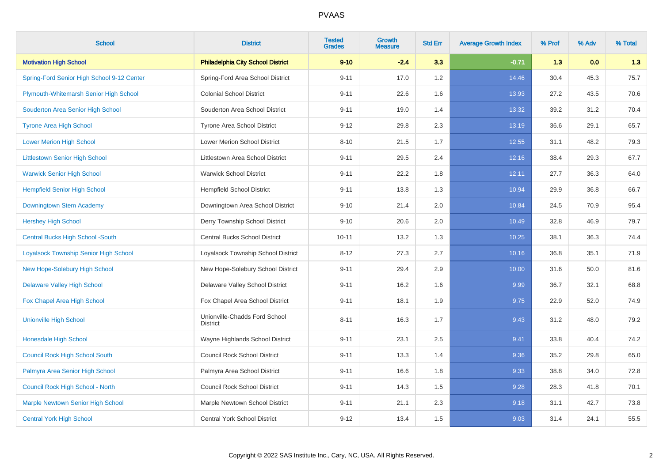| <b>School</b>                                | <b>District</b>                                  | <b>Tested</b><br><b>Grades</b> | <b>Growth</b><br><b>Measure</b> | <b>Std Err</b> | <b>Average Growth Index</b> | % Prof | % Adv | % Total |
|----------------------------------------------|--------------------------------------------------|--------------------------------|---------------------------------|----------------|-----------------------------|--------|-------|---------|
| <b>Motivation High School</b>                | <b>Philadelphia City School District</b>         | $9 - 10$                       | $-2.4$                          | 3.3            | $-0.71$                     | 1.3    | 0.0   | 1.3     |
| Spring-Ford Senior High School 9-12 Center   | Spring-Ford Area School District                 | $9 - 11$                       | 17.0                            | 1.2            | 14.46                       | 30.4   | 45.3  | 75.7    |
| Plymouth-Whitemarsh Senior High School       | <b>Colonial School District</b>                  | $9 - 11$                       | 22.6                            | 1.6            | 13.93                       | 27.2   | 43.5  | 70.6    |
| Souderton Area Senior High School            | Souderton Area School District                   | $9 - 11$                       | 19.0                            | 1.4            | 13.32                       | 39.2   | 31.2  | 70.4    |
| <b>Tyrone Area High School</b>               | Tyrone Area School District                      | $9 - 12$                       | 29.8                            | 2.3            | 13.19                       | 36.6   | 29.1  | 65.7    |
| <b>Lower Merion High School</b>              | Lower Merion School District                     | $8 - 10$                       | 21.5                            | 1.7            | 12.55                       | 31.1   | 48.2  | 79.3    |
| <b>Littlestown Senior High School</b>        | Littlestown Area School District                 | $9 - 11$                       | 29.5                            | 2.4            | 12.16                       | 38.4   | 29.3  | 67.7    |
| <b>Warwick Senior High School</b>            | <b>Warwick School District</b>                   | $9 - 11$                       | 22.2                            | 1.8            | 12.11                       | 27.7   | 36.3  | 64.0    |
| <b>Hempfield Senior High School</b>          | <b>Hempfield School District</b>                 | $9 - 11$                       | 13.8                            | 1.3            | 10.94                       | 29.9   | 36.8  | 66.7    |
| Downingtown Stem Academy                     | Downingtown Area School District                 | $9 - 10$                       | 21.4                            | 2.0            | 10.84                       | 24.5   | 70.9  | 95.4    |
| <b>Hershey High School</b>                   | Derry Township School District                   | $9 - 10$                       | 20.6                            | 2.0            | 10.49                       | 32.8   | 46.9  | 79.7    |
| <b>Central Bucks High School -South</b>      | <b>Central Bucks School District</b>             | $10 - 11$                      | 13.2                            | 1.3            | 10.25                       | 38.1   | 36.3  | 74.4    |
| <b>Loyalsock Township Senior High School</b> | Loyalsock Township School District               | $8 - 12$                       | 27.3                            | 2.7            | 10.16                       | 36.8   | 35.1  | 71.9    |
| New Hope-Solebury High School                | New Hope-Solebury School District                | $9 - 11$                       | 29.4                            | 2.9            | 10.00                       | 31.6   | 50.0  | 81.6    |
| <b>Delaware Valley High School</b>           | Delaware Valley School District                  | $9 - 11$                       | 16.2                            | 1.6            | 9.99                        | 36.7   | 32.1  | 68.8    |
| Fox Chapel Area High School                  | Fox Chapel Area School District                  | $9 - 11$                       | 18.1                            | 1.9            | 9.75                        | 22.9   | 52.0  | 74.9    |
| <b>Unionville High School</b>                | Unionville-Chadds Ford School<br><b>District</b> | $8 - 11$                       | 16.3                            | 1.7            | 9.43                        | 31.2   | 48.0  | 79.2    |
| <b>Honesdale High School</b>                 | Wayne Highlands School District                  | $9 - 11$                       | 23.1                            | 2.5            | 9.41                        | 33.8   | 40.4  | 74.2    |
| <b>Council Rock High School South</b>        | <b>Council Rock School District</b>              | $9 - 11$                       | 13.3                            | 1.4            | 9.36                        | 35.2   | 29.8  | 65.0    |
| Palmyra Area Senior High School              | Palmyra Area School District                     | $9 - 11$                       | 16.6                            | 1.8            | 9.33                        | 38.8   | 34.0  | 72.8    |
| Council Rock High School - North             | <b>Council Rock School District</b>              | $9 - 11$                       | 14.3                            | 1.5            | 9.28                        | 28.3   | 41.8  | 70.1    |
| <b>Marple Newtown Senior High School</b>     | Marple Newtown School District                   | $9 - 11$                       | 21.1                            | 2.3            | 9.18                        | 31.1   | 42.7  | 73.8    |
| <b>Central York High School</b>              | <b>Central York School District</b>              | $9 - 12$                       | 13.4                            | 1.5            | 9.03                        | 31.4   | 24.1  | 55.5    |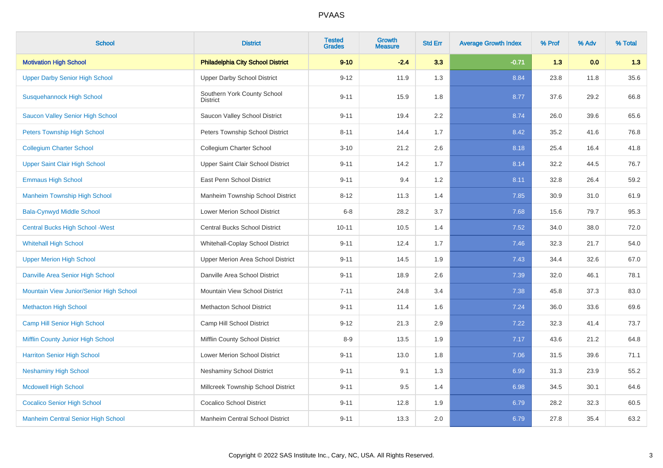| <b>School</b>                             | <b>District</b>                                | <b>Tested</b><br><b>Grades</b> | <b>Growth</b><br><b>Measure</b> | <b>Std Err</b> | <b>Average Growth Index</b> | % Prof | % Adv | % Total |
|-------------------------------------------|------------------------------------------------|--------------------------------|---------------------------------|----------------|-----------------------------|--------|-------|---------|
| <b>Motivation High School</b>             | <b>Philadelphia City School District</b>       | $9 - 10$                       | $-2.4$                          | 3.3            | $-0.71$                     | 1.3    | 0.0   | 1.3     |
| <b>Upper Darby Senior High School</b>     | <b>Upper Darby School District</b>             | $9 - 12$                       | 11.9                            | 1.3            | 8.84                        | 23.8   | 11.8  | 35.6    |
| <b>Susquehannock High School</b>          | Southern York County School<br><b>District</b> | $9 - 11$                       | 15.9                            | 1.8            | 8.77                        | 37.6   | 29.2  | 66.8    |
| <b>Saucon Valley Senior High School</b>   | Saucon Valley School District                  | $9 - 11$                       | 19.4                            | 2.2            | 8.74                        | 26.0   | 39.6  | 65.6    |
| <b>Peters Township High School</b>        | Peters Township School District                | $8 - 11$                       | 14.4                            | 1.7            | 8.42                        | 35.2   | 41.6  | 76.8    |
| <b>Collegium Charter School</b>           | Collegium Charter School                       | $3 - 10$                       | 21.2                            | 2.6            | 8.18                        | 25.4   | 16.4  | 41.8    |
| <b>Upper Saint Clair High School</b>      | Upper Saint Clair School District              | $9 - 11$                       | 14.2                            | 1.7            | 8.14                        | 32.2   | 44.5  | 76.7    |
| <b>Emmaus High School</b>                 | East Penn School District                      | $9 - 11$                       | 9.4                             | 1.2            | 8.11                        | 32.8   | 26.4  | 59.2    |
| <b>Manheim Township High School</b>       | Manheim Township School District               | $8 - 12$                       | 11.3                            | 1.4            | 7.85                        | 30.9   | 31.0  | 61.9    |
| <b>Bala-Cynwyd Middle School</b>          | <b>Lower Merion School District</b>            | $6 - 8$                        | 28.2                            | 3.7            | 7.68                        | 15.6   | 79.7  | 95.3    |
| <b>Central Bucks High School - West</b>   | <b>Central Bucks School District</b>           | $10 - 11$                      | 10.5                            | 1.4            | 7.52                        | 34.0   | 38.0  | 72.0    |
| <b>Whitehall High School</b>              | Whitehall-Coplay School District               | $9 - 11$                       | 12.4                            | 1.7            | 7.46                        | 32.3   | 21.7  | 54.0    |
| <b>Upper Merion High School</b>           | Upper Merion Area School District              | $9 - 11$                       | 14.5                            | 1.9            | 7.43                        | 34.4   | 32.6  | 67.0    |
| Danville Area Senior High School          | Danville Area School District                  | $9 - 11$                       | 18.9                            | 2.6            | 7.39                        | 32.0   | 46.1  | 78.1    |
| Mountain View Junior/Senior High School   | Mountain View School District                  | $7 - 11$                       | 24.8                            | 3.4            | 7.38                        | 45.8   | 37.3  | 83.0    |
| <b>Methacton High School</b>              | <b>Methacton School District</b>               | $9 - 11$                       | 11.4                            | 1.6            | 7.24                        | 36.0   | 33.6  | 69.6    |
| <b>Camp Hill Senior High School</b>       | Camp Hill School District                      | $9 - 12$                       | 21.3                            | 2.9            | 7.22                        | 32.3   | 41.4  | 73.7    |
| Mifflin County Junior High School         | Mifflin County School District                 | $8 - 9$                        | 13.5                            | 1.9            | 7.17                        | 43.6   | 21.2  | 64.8    |
| <b>Harriton Senior High School</b>        | Lower Merion School District                   | $9 - 11$                       | 13.0                            | 1.8            | 7.06                        | 31.5   | 39.6  | 71.1    |
| <b>Neshaminy High School</b>              | <b>Neshaminy School District</b>               | $9 - 11$                       | 9.1                             | 1.3            | 6.99                        | 31.3   | 23.9  | 55.2    |
| <b>Mcdowell High School</b>               | Millcreek Township School District             | $9 - 11$                       | 9.5                             | 1.4            | 6.98                        | 34.5   | 30.1  | 64.6    |
| <b>Cocalico Senior High School</b>        | <b>Cocalico School District</b>                | $9 - 11$                       | 12.8                            | 1.9            | 6.79                        | 28.2   | 32.3  | 60.5    |
| <b>Manheim Central Senior High School</b> | Manheim Central School District                | $9 - 11$                       | 13.3                            | 2.0            | 6.79                        | 27.8   | 35.4  | 63.2    |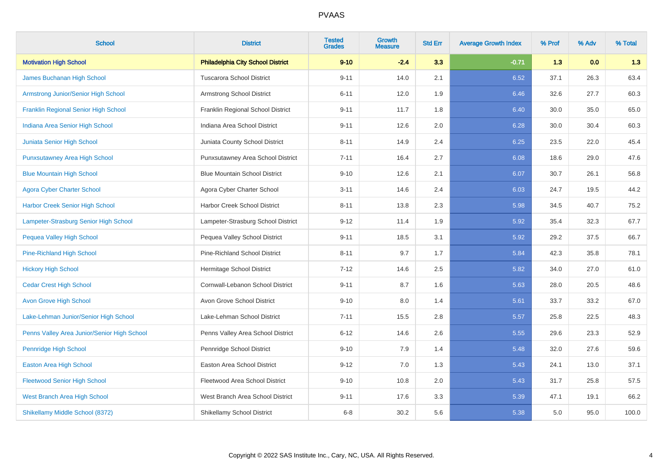| <b>School</b>                               | <b>District</b>                          | <b>Tested</b><br><b>Grades</b> | Growth<br><b>Measure</b> | <b>Std Err</b> | <b>Average Growth Index</b> | % Prof | % Adv | % Total |
|---------------------------------------------|------------------------------------------|--------------------------------|--------------------------|----------------|-----------------------------|--------|-------|---------|
| <b>Motivation High School</b>               | <b>Philadelphia City School District</b> | $9 - 10$                       | $-2.4$                   | 3.3            | $-0.71$                     | 1.3    | 0.0   | 1.3     |
| <b>James Buchanan High School</b>           | <b>Tuscarora School District</b>         | $9 - 11$                       | 14.0                     | 2.1            | 6.52                        | 37.1   | 26.3  | 63.4    |
| Armstrong Junior/Senior High School         | Armstrong School District                | $6 - 11$                       | 12.0                     | 1.9            | 6.46                        | 32.6   | 27.7  | 60.3    |
| <b>Franklin Regional Senior High School</b> | Franklin Regional School District        | $9 - 11$                       | 11.7                     | 1.8            | 6.40                        | 30.0   | 35.0  | 65.0    |
| Indiana Area Senior High School             | Indiana Area School District             | $9 - 11$                       | 12.6                     | 2.0            | 6.28                        | 30.0   | 30.4  | 60.3    |
| Juniata Senior High School                  | Juniata County School District           | $8 - 11$                       | 14.9                     | 2.4            | 6.25                        | 23.5   | 22.0  | 45.4    |
| <b>Punxsutawney Area High School</b>        | Punxsutawney Area School District        | $7 - 11$                       | 16.4                     | 2.7            | 6.08                        | 18.6   | 29.0  | 47.6    |
| <b>Blue Mountain High School</b>            | <b>Blue Mountain School District</b>     | $9 - 10$                       | 12.6                     | 2.1            | 6.07                        | 30.7   | 26.1  | 56.8    |
| <b>Agora Cyber Charter School</b>           | Agora Cyber Charter School               | $3 - 11$                       | 14.6                     | 2.4            | 6.03                        | 24.7   | 19.5  | 44.2    |
| Harbor Creek Senior High School             | Harbor Creek School District             | $8 - 11$                       | 13.8                     | 2.3            | 5.98                        | 34.5   | 40.7  | 75.2    |
| Lampeter-Strasburg Senior High School       | Lampeter-Strasburg School District       | $9 - 12$                       | 11.4                     | 1.9            | 5.92                        | 35.4   | 32.3  | 67.7    |
| <b>Pequea Valley High School</b>            | Pequea Valley School District            | $9 - 11$                       | 18.5                     | 3.1            | 5.92                        | 29.2   | 37.5  | 66.7    |
| <b>Pine-Richland High School</b>            | <b>Pine-Richland School District</b>     | $8 - 11$                       | 9.7                      | 1.7            | 5.84                        | 42.3   | 35.8  | 78.1    |
| <b>Hickory High School</b>                  | Hermitage School District                | $7 - 12$                       | 14.6                     | 2.5            | 5.82                        | 34.0   | 27.0  | 61.0    |
| <b>Cedar Crest High School</b>              | Cornwall-Lebanon School District         | $9 - 11$                       | 8.7                      | 1.6            | 5.63                        | 28.0   | 20.5  | 48.6    |
| <b>Avon Grove High School</b>               | Avon Grove School District               | $9 - 10$                       | 8.0                      | 1.4            | 5.61                        | 33.7   | 33.2  | 67.0    |
| Lake-Lehman Junior/Senior High School       | Lake-Lehman School District              | $7 - 11$                       | 15.5                     | 2.8            | 5.57                        | 25.8   | 22.5  | 48.3    |
| Penns Valley Area Junior/Senior High School | Penns Valley Area School District        | $6 - 12$                       | 14.6                     | 2.6            | 5.55                        | 29.6   | 23.3  | 52.9    |
| Pennridge High School                       | Pennridge School District                | $9 - 10$                       | 7.9                      | 1.4            | 5.48                        | 32.0   | 27.6  | 59.6    |
| <b>Easton Area High School</b>              | Easton Area School District              | $9 - 12$                       | 7.0                      | 1.3            | 5.43                        | 24.1   | 13.0  | 37.1    |
| <b>Fleetwood Senior High School</b>         | Fleetwood Area School District           | $9 - 10$                       | 10.8                     | 2.0            | 5.43                        | 31.7   | 25.8  | 57.5    |
| West Branch Area High School                | West Branch Area School District         | $9 - 11$                       | 17.6                     | 3.3            | 5.39                        | 47.1   | 19.1  | 66.2    |
| Shikellamy Middle School (8372)             | Shikellamy School District               | $6 - 8$                        | 30.2                     | 5.6            | 5.38                        | 5.0    | 95.0  | 100.0   |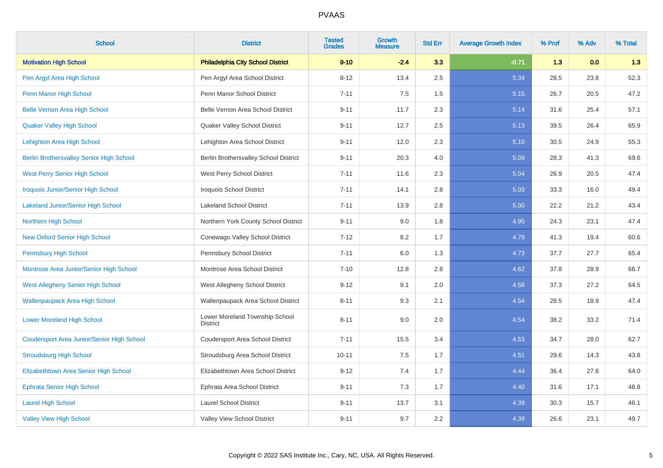| <b>School</b>                                     | <b>District</b>                                   | <b>Tested</b><br><b>Grades</b> | <b>Growth</b><br><b>Measure</b> | <b>Std Err</b> | <b>Average Growth Index</b> | % Prof | % Adv | % Total |
|---------------------------------------------------|---------------------------------------------------|--------------------------------|---------------------------------|----------------|-----------------------------|--------|-------|---------|
| <b>Motivation High School</b>                     | <b>Philadelphia City School District</b>          | $9 - 10$                       | $-2.4$                          | 3.3            | $-0.71$                     | 1.3    | 0.0   | 1.3     |
| Pen Argyl Area High School                        | Pen Argyl Area School District                    | $8 - 12$                       | 13.4                            | 2.5            | 5.34                        | 28.5   | 23.8  | 52.3    |
| Penn Manor High School                            | Penn Manor School District                        | $7 - 11$                       | 7.5                             | 1.5            | 5.15                        | 26.7   | 20.5  | 47.2    |
| <b>Belle Vernon Area High School</b>              | Belle Vernon Area School District                 | $9 - 11$                       | 11.7                            | 2.3            | 5.14                        | 31.6   | 25.4  | 57.1    |
| <b>Quaker Valley High School</b>                  | Quaker Valley School District                     | $9 - 11$                       | 12.7                            | 2.5            | 5.13                        | 39.5   | 26.4  | 65.9    |
| Lehighton Area High School                        | Lehighton Area School District                    | $9 - 11$                       | 12.0                            | 2.3            | 5.10                        | 30.5   | 24.9  | 55.3    |
| <b>Berlin Brothersvalley Senior High School</b>   | Berlin Brothersvalley School District             | $9 - 11$                       | 20.3                            | 4.0            | 5.09                        | 28.3   | 41.3  | 69.6    |
| <b>West Perry Senior High School</b>              | West Perry School District                        | $7 - 11$                       | 11.6                            | 2.3            | 5.04                        | 26.9   | 20.5  | 47.4    |
| <b>Iroquois Junior/Senior High School</b>         | <b>Iroquois School District</b>                   | $7 - 11$                       | 14.1                            | 2.8            | 5.03                        | 33.3   | 16.0  | 49.4    |
| <b>Lakeland Junior/Senior High School</b>         | <b>Lakeland School District</b>                   | $7 - 11$                       | 13.9                            | 2.8            | 5.00                        | 22.2   | 21.2  | 43.4    |
| Northern High School                              | Northern York County School District              | $9 - 11$                       | 9.0                             | 1.8            | 4.95                        | 24.3   | 23.1  | 47.4    |
| <b>New Oxford Senior High School</b>              | Conewago Valley School District                   | $7 - 12$                       | 8.2                             | 1.7            | 4.79                        | 41.3   | 19.4  | 60.6    |
| <b>Pennsbury High School</b>                      | Pennsbury School District                         | $7 - 11$                       | 6.0                             | 1.3            | 4.73                        | 37.7   | 27.7  | 65.4    |
| Montrose Area Junior/Senior High School           | Montrose Area School District                     | $7 - 10$                       | 12.8                            | 2.8            | 4.62                        | 37.8   | 28.9  | 66.7    |
| West Allegheny Senior High School                 | West Allegheny School District                    | $9 - 12$                       | 9.1                             | 2.0            | 4.58                        | 37.3   | 27.2  | 64.5    |
| <b>Wallenpaupack Area High School</b>             | Wallenpaupack Area School District                | $8 - 11$                       | 9.3                             | 2.1            | 4.54                        | 28.5   | 18.9  | 47.4    |
| <b>Lower Moreland High School</b>                 | Lower Moreland Township School<br><b>District</b> | $8 - 11$                       | 9.0                             | 2.0            | 4.54                        | 38.2   | 33.2  | 71.4    |
| <b>Coudersport Area Junior/Senior High School</b> | Coudersport Area School District                  | $7 - 11$                       | 15.5                            | 3.4            | 4.53                        | 34.7   | 28.0  | 62.7    |
| <b>Stroudsburg High School</b>                    | Stroudsburg Area School District                  | $10 - 11$                      | 7.5                             | 1.7            | 4.51                        | 29.6   | 14.3  | 43.8    |
| Elizabethtown Area Senior High School             | Elizabethtown Area School District                | $9 - 12$                       | 7.4                             | 1.7            | 4.44                        | 36.4   | 27.6  | 64.0    |
| <b>Ephrata Senior High School</b>                 | Ephrata Area School District                      | $9 - 11$                       | 7.3                             | 1.7            | 4.40                        | 31.6   | 17.1  | 48.8    |
| <b>Laurel High School</b>                         | <b>Laurel School District</b>                     | $9 - 11$                       | 13.7                            | 3.1            | 4.39                        | 30.3   | 15.7  | 46.1    |
| <b>Valley View High School</b>                    | Valley View School District                       | $9 - 11$                       | 9.7                             | 2.2            | 4.39                        | 26.6   | 23.1  | 49.7    |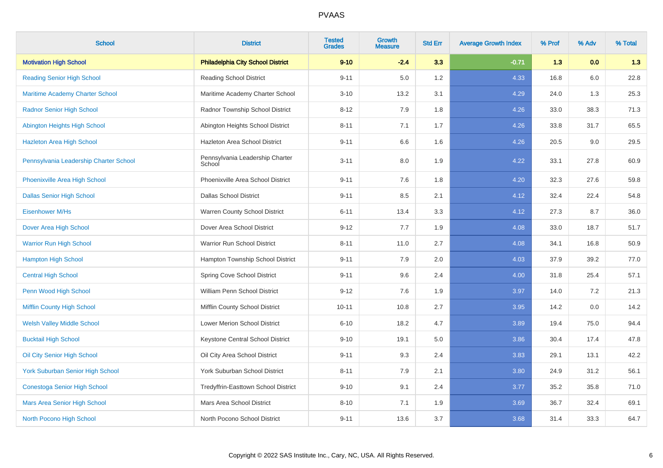| <b>School</b>                           | <b>District</b>                           | <b>Tested</b><br><b>Grades</b> | <b>Growth</b><br><b>Measure</b> | <b>Std Err</b> | <b>Average Growth Index</b> | % Prof | % Adv | % Total |
|-----------------------------------------|-------------------------------------------|--------------------------------|---------------------------------|----------------|-----------------------------|--------|-------|---------|
| <b>Motivation High School</b>           | <b>Philadelphia City School District</b>  | $9 - 10$                       | $-2.4$                          | 3.3            | $-0.71$                     | 1.3    | 0.0   | 1.3     |
| <b>Reading Senior High School</b>       | <b>Reading School District</b>            | $9 - 11$                       | 5.0                             | 1.2            | 4.33                        | 16.8   | 6.0   | 22.8    |
| <b>Maritime Academy Charter School</b>  | Maritime Academy Charter School           | $3 - 10$                       | 13.2                            | 3.1            | 4.29                        | 24.0   | 1.3   | 25.3    |
| <b>Radnor Senior High School</b>        | Radnor Township School District           | $8 - 12$                       | 7.9                             | 1.8            | 4.26                        | 33.0   | 38.3  | 71.3    |
| Abington Heights High School            | Abington Heights School District          | $8 - 11$                       | 7.1                             | 1.7            | 4.26                        | 33.8   | 31.7  | 65.5    |
| <b>Hazleton Area High School</b>        | Hazleton Area School District             | $9 - 11$                       | 6.6                             | 1.6            | 4.26                        | 20.5   | 9.0   | 29.5    |
| Pennsylvania Leadership Charter School  | Pennsylvania Leadership Charter<br>School | $3 - 11$                       | 8.0                             | 1.9            | 4.22                        | 33.1   | 27.8  | 60.9    |
| Phoenixville Area High School           | Phoenixville Area School District         | $9 - 11$                       | 7.6                             | 1.8            | 4.20                        | 32.3   | 27.6  | 59.8    |
| <b>Dallas Senior High School</b>        | <b>Dallas School District</b>             | $9 - 11$                       | 8.5                             | 2.1            | 4.12                        | 32.4   | 22.4  | 54.8    |
| Eisenhower M/Hs                         | Warren County School District             | $6 - 11$                       | 13.4                            | 3.3            | 4.12                        | 27.3   | 8.7   | 36.0    |
| Dover Area High School                  | Dover Area School District                | $9 - 12$                       | 7.7                             | 1.9            | 4.08                        | 33.0   | 18.7  | 51.7    |
| <b>Warrior Run High School</b>          | Warrior Run School District               | $8 - 11$                       | 11.0                            | 2.7            | 4.08                        | 34.1   | 16.8  | 50.9    |
| <b>Hampton High School</b>              | Hampton Township School District          | $9 - 11$                       | 7.9                             | 2.0            | 4.03                        | 37.9   | 39.2  | 77.0    |
| <b>Central High School</b>              | Spring Cove School District               | $9 - 11$                       | 9.6                             | 2.4            | 4.00                        | 31.8   | 25.4  | 57.1    |
| Penn Wood High School                   | William Penn School District              | $9 - 12$                       | 7.6                             | 1.9            | 3.97                        | 14.0   | 7.2   | 21.3    |
| Mifflin County High School              | Mifflin County School District            | $10 - 11$                      | 10.8                            | 2.7            | 3.95                        | 14.2   | 0.0   | 14.2    |
| <b>Welsh Valley Middle School</b>       | Lower Merion School District              | $6 - 10$                       | 18.2                            | 4.7            | 3.89                        | 19.4   | 75.0  | 94.4    |
| <b>Bucktail High School</b>             | Keystone Central School District          | $9 - 10$                       | 19.1                            | 5.0            | 3.86                        | 30.4   | 17.4  | 47.8    |
| Oil City Senior High School             | Oil City Area School District             | $9 - 11$                       | 9.3                             | 2.4            | 3.83                        | 29.1   | 13.1  | 42.2    |
| <b>York Suburban Senior High School</b> | York Suburban School District             | $8 - 11$                       | 7.9                             | 2.1            | 3.80                        | 24.9   | 31.2  | 56.1    |
| <b>Conestoga Senior High School</b>     | Tredyffrin-Easttown School District       | $9 - 10$                       | 9.1                             | 2.4            | 3.77                        | 35.2   | 35.8  | 71.0    |
| Mars Area Senior High School            | Mars Area School District                 | $8 - 10$                       | 7.1                             | 1.9            | 3.69                        | 36.7   | 32.4  | 69.1    |
| North Pocono High School                | North Pocono School District              | $9 - 11$                       | 13.6                            | 3.7            | 3.68                        | 31.4   | 33.3  | 64.7    |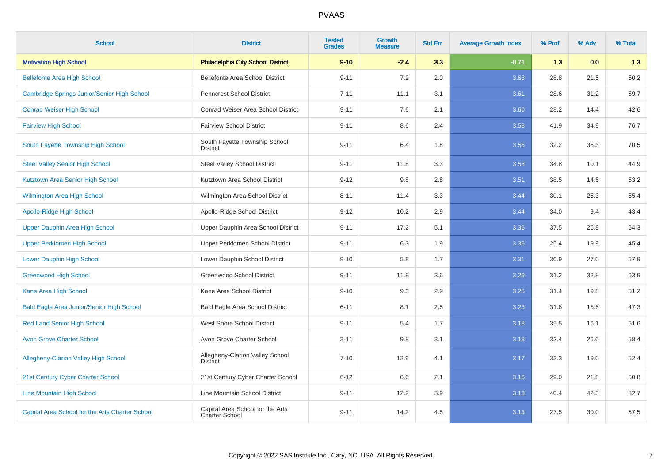| <b>School</b>                                    | <b>District</b>                                    | <b>Tested</b><br><b>Grades</b> | <b>Growth</b><br><b>Measure</b> | <b>Std Err</b> | <b>Average Growth Index</b> | % Prof | % Adv | % Total |
|--------------------------------------------------|----------------------------------------------------|--------------------------------|---------------------------------|----------------|-----------------------------|--------|-------|---------|
| <b>Motivation High School</b>                    | <b>Philadelphia City School District</b>           | $9 - 10$                       | $-2.4$                          | 3.3            | $-0.71$                     | 1.3    | 0.0   | 1.3     |
| <b>Bellefonte Area High School</b>               | Bellefonte Area School District                    | $9 - 11$                       | 7.2                             | 2.0            | 3.63                        | 28.8   | 21.5  | 50.2    |
| Cambridge Springs Junior/Senior High School      | <b>Penncrest School District</b>                   | $7 - 11$                       | 11.1                            | 3.1            | 3.61                        | 28.6   | 31.2  | 59.7    |
| <b>Conrad Weiser High School</b>                 | Conrad Weiser Area School District                 | $9 - 11$                       | 7.6                             | 2.1            | 3.60                        | 28.2   | 14.4  | 42.6    |
| <b>Fairview High School</b>                      | <b>Fairview School District</b>                    | $9 - 11$                       | 8.6                             | 2.4            | 3.58                        | 41.9   | 34.9  | 76.7    |
| South Fayette Township High School               | South Fayette Township School<br><b>District</b>   | $9 - 11$                       | 6.4                             | 1.8            | 3.55                        | 32.2   | 38.3  | 70.5    |
| <b>Steel Valley Senior High School</b>           | <b>Steel Valley School District</b>                | $9 - 11$                       | 11.8                            | 3.3            | 3.53                        | 34.8   | 10.1  | 44.9    |
| Kutztown Area Senior High School                 | Kutztown Area School District                      | $9 - 12$                       | 9.8                             | 2.8            | 3.51                        | 38.5   | 14.6  | 53.2    |
| <b>Wilmington Area High School</b>               | Wilmington Area School District                    | $8 - 11$                       | 11.4                            | 3.3            | 3.44                        | 30.1   | 25.3  | 55.4    |
| <b>Apollo-Ridge High School</b>                  | Apollo-Ridge School District                       | $9 - 12$                       | 10.2                            | 2.9            | 3.44                        | 34.0   | 9.4   | 43.4    |
| Upper Dauphin Area High School                   | Upper Dauphin Area School District                 | $9 - 11$                       | 17.2                            | 5.1            | 3.36                        | 37.5   | 26.8  | 64.3    |
| <b>Upper Perkiomen High School</b>               | Upper Perkiomen School District                    | $9 - 11$                       | 6.3                             | 1.9            | 3.36                        | 25.4   | 19.9  | 45.4    |
| <b>Lower Dauphin High School</b>                 | Lower Dauphin School District                      | $9 - 10$                       | 5.8                             | 1.7            | 3.31                        | 30.9   | 27.0  | 57.9    |
| <b>Greenwood High School</b>                     | Greenwood School District                          | $9 - 11$                       | 11.8                            | 3.6            | 3.29                        | 31.2   | 32.8  | 63.9    |
| Kane Area High School                            | Kane Area School District                          | $9 - 10$                       | 9.3                             | 2.9            | 3.25                        | 31.4   | 19.8  | 51.2    |
| <b>Bald Eagle Area Junior/Senior High School</b> | <b>Bald Eagle Area School District</b>             | $6 - 11$                       | 8.1                             | 2.5            | 3.23                        | 31.6   | 15.6  | 47.3    |
| <b>Red Land Senior High School</b>               | West Shore School District                         | $9 - 11$                       | 5.4                             | 1.7            | 3.18                        | 35.5   | 16.1  | 51.6    |
| <b>Avon Grove Charter School</b>                 | Avon Grove Charter School                          | $3 - 11$                       | 9.8                             | 3.1            | 3.18                        | 32.4   | 26.0  | 58.4    |
| <b>Allegheny-Clarion Valley High School</b>      | Allegheny-Clarion Valley School<br><b>District</b> | $7 - 10$                       | 12.9                            | 4.1            | 3.17                        | 33.3   | 19.0  | 52.4    |
| 21st Century Cyber Charter School                | 21st Century Cyber Charter School                  | $6 - 12$                       | 6.6                             | 2.1            | 3.16                        | 29.0   | 21.8  | 50.8    |
| <b>Line Mountain High School</b>                 | Line Mountain School District                      | $9 - 11$                       | 12.2                            | 3.9            | 3.13                        | 40.4   | 42.3  | 82.7    |
| Capital Area School for the Arts Charter School  | Capital Area School for the Arts<br>Charter School | $9 - 11$                       | 14.2                            | 4.5            | 3.13                        | 27.5   | 30.0  | 57.5    |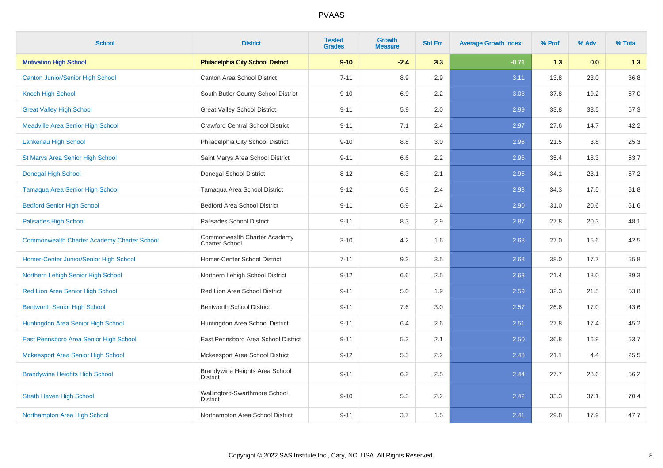| <b>School</b>                                      | <b>District</b>                                       | <b>Tested</b><br><b>Grades</b> | <b>Growth</b><br><b>Measure</b> | <b>Std Err</b> | <b>Average Growth Index</b> | % Prof | % Adv | % Total |
|----------------------------------------------------|-------------------------------------------------------|--------------------------------|---------------------------------|----------------|-----------------------------|--------|-------|---------|
| <b>Motivation High School</b>                      | <b>Philadelphia City School District</b>              | $9 - 10$                       | $-2.4$                          | 3.3            | $-0.71$                     | 1.3    | 0.0   | 1.3     |
| <b>Canton Junior/Senior High School</b>            | Canton Area School District                           | $7 - 11$                       | 8.9                             | 2.9            | 3.11                        | 13.8   | 23.0  | 36.8    |
| Knoch High School                                  | South Butler County School District                   | $9 - 10$                       | 6.9                             | 2.2            | 3.08                        | 37.8   | 19.2  | 57.0    |
| <b>Great Valley High School</b>                    | <b>Great Valley School District</b>                   | $9 - 11$                       | 5.9                             | 2.0            | 2.99                        | 33.8   | 33.5  | 67.3    |
| <b>Meadville Area Senior High School</b>           | <b>Crawford Central School District</b>               | $9 - 11$                       | 7.1                             | 2.4            | 2.97                        | 27.6   | 14.7  | 42.2    |
| Lankenau High School                               | Philadelphia City School District                     | $9 - 10$                       | 8.8                             | 3.0            | 2.96                        | 21.5   | 3.8   | 25.3    |
| <b>St Marys Area Senior High School</b>            | Saint Marys Area School District                      | $9 - 11$                       | 6.6                             | 2.2            | 2.96                        | 35.4   | 18.3  | 53.7    |
| <b>Donegal High School</b>                         | Donegal School District                               | $8 - 12$                       | 6.3                             | 2.1            | 2.95                        | 34.1   | 23.1  | 57.2    |
| <b>Tamaqua Area Senior High School</b>             | Tamaqua Area School District                          | $9 - 12$                       | 6.9                             | 2.4            | 2.93                        | 34.3   | 17.5  | 51.8    |
| <b>Bedford Senior High School</b>                  | <b>Bedford Area School District</b>                   | $9 - 11$                       | 6.9                             | 2.4            | 2.90                        | 31.0   | 20.6  | 51.6    |
| Palisades High School                              | Palisades School District                             | $9 - 11$                       | 8.3                             | 2.9            | 2.87                        | 27.8   | 20.3  | 48.1    |
| <b>Commonwealth Charter Academy Charter School</b> | Commonwealth Charter Academy<br><b>Charter School</b> | $3 - 10$                       | 4.2                             | 1.6            | 2.68                        | 27.0   | 15.6  | 42.5    |
| Homer-Center Junior/Senior High School             | Homer-Center School District                          | $7 - 11$                       | 9.3                             | 3.5            | 2.68                        | 38.0   | 17.7  | 55.8    |
| Northern Lehigh Senior High School                 | Northern Lehigh School District                       | $9 - 12$                       | 6.6                             | 2.5            | 2.63                        | 21.4   | 18.0  | 39.3    |
| Red Lion Area Senior High School                   | Red Lion Area School District                         | $9 - 11$                       | 5.0                             | 1.9            | 2.59                        | 32.3   | 21.5  | 53.8    |
| <b>Bentworth Senior High School</b>                | <b>Bentworth School District</b>                      | $9 - 11$                       | 7.6                             | 3.0            | 2.57                        | 26.6   | 17.0  | 43.6    |
| Huntingdon Area Senior High School                 | Huntingdon Area School District                       | $9 - 11$                       | 6.4                             | 2.6            | 2.51                        | 27.8   | 17.4  | 45.2    |
| East Pennsboro Area Senior High School             | East Pennsboro Area School District                   | $9 - 11$                       | 5.3                             | 2.1            | 2.50                        | 36.8   | 16.9  | 53.7    |
| Mckeesport Area Senior High School                 | Mckeesport Area School District                       | $9 - 12$                       | 5.3                             | 2.2            | 2.48                        | 21.1   | 4.4   | 25.5    |
| <b>Brandywine Heights High School</b>              | Brandywine Heights Area School<br><b>District</b>     | $9 - 11$                       | 6.2                             | 2.5            | 2.44                        | 27.7   | 28.6  | 56.2    |
| <b>Strath Haven High School</b>                    | Wallingford-Swarthmore School<br><b>District</b>      | $9 - 10$                       | 5.3                             | 2.2            | 2.42                        | 33.3   | 37.1  | 70.4    |
| Northampton Area High School                       | Northampton Area School District                      | $9 - 11$                       | 3.7                             | 1.5            | 2.41                        | 29.8   | 17.9  | 47.7    |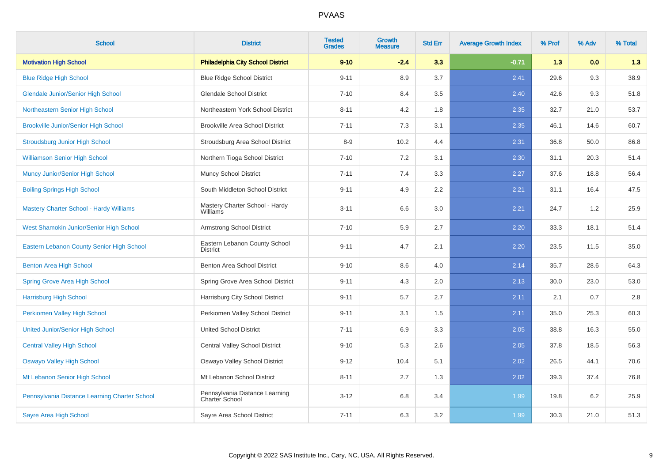| <b>School</b>                                  | <b>District</b>                                  | <b>Tested</b><br><b>Grades</b> | <b>Growth</b><br><b>Measure</b> | <b>Std Err</b> | <b>Average Growth Index</b> | % Prof | % Adv | % Total |
|------------------------------------------------|--------------------------------------------------|--------------------------------|---------------------------------|----------------|-----------------------------|--------|-------|---------|
| <b>Motivation High School</b>                  | <b>Philadelphia City School District</b>         | $9 - 10$                       | $-2.4$                          | 3.3            | $-0.71$                     | 1.3    | 0.0   | 1.3     |
| <b>Blue Ridge High School</b>                  | <b>Blue Ridge School District</b>                | $9 - 11$                       | 8.9                             | 3.7            | 2.41                        | 29.6   | 9.3   | 38.9    |
| <b>Glendale Junior/Senior High School</b>      | <b>Glendale School District</b>                  | $7 - 10$                       | 8.4                             | 3.5            | 2.40                        | 42.6   | 9.3   | 51.8    |
| Northeastern Senior High School                | Northeastern York School District                | $8 - 11$                       | 4.2                             | 1.8            | 2.35                        | 32.7   | 21.0  | 53.7    |
| <b>Brookville Junior/Senior High School</b>    | <b>Brookville Area School District</b>           | $7 - 11$                       | 7.3                             | 3.1            | 2.35                        | 46.1   | 14.6  | 60.7    |
| <b>Stroudsburg Junior High School</b>          | Stroudsburg Area School District                 | $8-9$                          | 10.2                            | 4.4            | 2.31                        | 36.8   | 50.0  | 86.8    |
| <b>Williamson Senior High School</b>           | Northern Tioga School District                   | $7 - 10$                       | 7.2                             | 3.1            | 2.30                        | 31.1   | 20.3  | 51.4    |
| Muncy Junior/Senior High School                | <b>Muncy School District</b>                     | $7 - 11$                       | 7.4                             | 3.3            | 2.27                        | 37.6   | 18.8  | 56.4    |
| <b>Boiling Springs High School</b>             | South Middleton School District                  | $9 - 11$                       | 4.9                             | 2.2            | 2.21                        | 31.1   | 16.4  | 47.5    |
| <b>Mastery Charter School - Hardy Williams</b> | Mastery Charter School - Hardy<br>Williams       | $3 - 11$                       | 6.6                             | 3.0            | 2.21                        | 24.7   | 1.2   | 25.9    |
| West Shamokin Junior/Senior High School        | Armstrong School District                        | $7 - 10$                       | 5.9                             | 2.7            | 2.20                        | 33.3   | 18.1  | 51.4    |
| Eastern Lebanon County Senior High School      | Eastern Lebanon County School<br><b>District</b> | $9 - 11$                       | 4.7                             | 2.1            | 2.20                        | 23.5   | 11.5  | 35.0    |
| <b>Benton Area High School</b>                 | Benton Area School District                      | $9 - 10$                       | 8.6                             | 4.0            | 2.14                        | 35.7   | 28.6  | 64.3    |
| <b>Spring Grove Area High School</b>           | Spring Grove Area School District                | $9 - 11$                       | 4.3                             | 2.0            | 2.13                        | 30.0   | 23.0  | 53.0    |
| <b>Harrisburg High School</b>                  | Harrisburg City School District                  | $9 - 11$                       | 5.7                             | 2.7            | 2.11                        | 2.1    | 0.7   | 2.8     |
| Perkiomen Valley High School                   | Perkiomen Valley School District                 | $9 - 11$                       | 3.1                             | 1.5            | 2.11                        | 35.0   | 25.3  | 60.3    |
| <b>United Junior/Senior High School</b>        | <b>United School District</b>                    | $7 - 11$                       | 6.9                             | 3.3            | 2.05                        | 38.8   | 16.3  | 55.0    |
| <b>Central Valley High School</b>              | Central Valley School District                   | $9 - 10$                       | 5.3                             | 2.6            | 2.05                        | 37.8   | 18.5  | 56.3    |
| Oswayo Valley High School                      | Oswayo Valley School District                    | $9 - 12$                       | 10.4                            | 5.1            | 2.02                        | 26.5   | 44.1  | 70.6    |
| Mt Lebanon Senior High School                  | Mt Lebanon School District                       | $8 - 11$                       | 2.7                             | 1.3            | 2.02                        | 39.3   | 37.4  | 76.8    |
| Pennsylvania Distance Learning Charter School  | Pennsylvania Distance Learning<br>Charter School | $3 - 12$                       | 6.8                             | 3.4            | 1.99                        | 19.8   | 6.2   | 25.9    |
| <b>Sayre Area High School</b>                  | Sayre Area School District                       | $7 - 11$                       | 6.3                             | 3.2            | 1.99                        | 30.3   | 21.0  | 51.3    |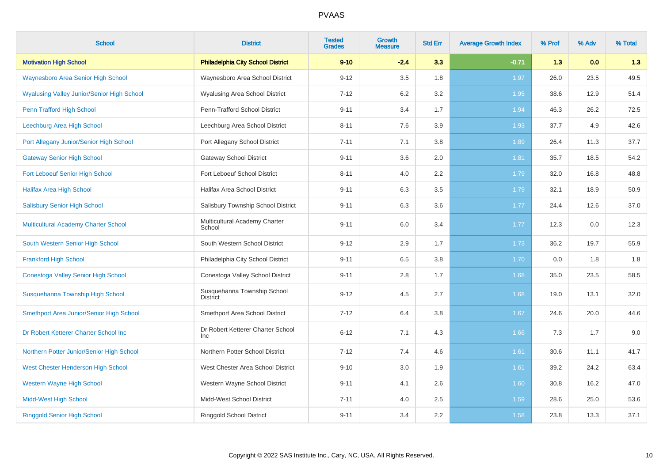| <b>School</b>                                     | <b>District</b>                                 | <b>Tested</b><br><b>Grades</b> | <b>Growth</b><br><b>Measure</b> | <b>Std Err</b> | <b>Average Growth Index</b> | % Prof | % Adv | % Total |
|---------------------------------------------------|-------------------------------------------------|--------------------------------|---------------------------------|----------------|-----------------------------|--------|-------|---------|
| <b>Motivation High School</b>                     | <b>Philadelphia City School District</b>        | $9 - 10$                       | $-2.4$                          | 3.3            | $-0.71$                     | 1.3    | 0.0   | 1.3     |
| Waynesboro Area Senior High School                | Waynesboro Area School District                 | $9 - 12$                       | 3.5                             | 1.8            | 1.97                        | 26.0   | 23.5  | 49.5    |
| <b>Wyalusing Valley Junior/Senior High School</b> | <b>Wyalusing Area School District</b>           | $7 - 12$                       | 6.2                             | 3.2            | 1.95                        | 38.6   | 12.9  | 51.4    |
| Penn Trafford High School                         | Penn-Trafford School District                   | $9 - 11$                       | 3.4                             | 1.7            | 1.94                        | 46.3   | 26.2  | 72.5    |
| Leechburg Area High School                        | Leechburg Area School District                  | $8 - 11$                       | 7.6                             | 3.9            | 1.93                        | 37.7   | 4.9   | 42.6    |
| Port Allegany Junior/Senior High School           | Port Allegany School District                   | $7 - 11$                       | 7.1                             | 3.8            | 1.89                        | 26.4   | 11.3  | 37.7    |
| <b>Gateway Senior High School</b>                 | <b>Gateway School District</b>                  | $9 - 11$                       | 3.6                             | 2.0            | 1.81                        | 35.7   | 18.5  | 54.2    |
| Fort Leboeuf Senior High School                   | Fort Leboeuf School District                    | $8 - 11$                       | 4.0                             | 2.2            | 1.79                        | 32.0   | 16.8  | 48.8    |
| <b>Halifax Area High School</b>                   | Halifax Area School District                    | $9 - 11$                       | 6.3                             | 3.5            | 1.79                        | 32.1   | 18.9  | 50.9    |
| <b>Salisbury Senior High School</b>               | Salisbury Township School District              | $9 - 11$                       | 6.3                             | 3.6            | 1.77                        | 24.4   | 12.6  | 37.0    |
| Multicultural Academy Charter School              | Multicultural Academy Charter<br>School         | $9 - 11$                       | 6.0                             | 3.4            | 1.77                        | 12.3   | 0.0   | 12.3    |
| South Western Senior High School                  | South Western School District                   | $9 - 12$                       | 2.9                             | 1.7            | 1.73                        | 36.2   | 19.7  | 55.9    |
| <b>Frankford High School</b>                      | Philadelphia City School District               | $9 - 11$                       | 6.5                             | 3.8            | 1.70                        | 0.0    | 1.8   | 1.8     |
| Conestoga Valley Senior High School               | Conestoga Valley School District                | $9 - 11$                       | 2.8                             | 1.7            | 1.68                        | 35.0   | 23.5  | 58.5    |
| Susquehanna Township High School                  | Susquehanna Township School<br><b>District</b>  | $9 - 12$                       | 4.5                             | 2.7            | 1.68                        | 19.0   | 13.1  | 32.0    |
| Smethport Area Junior/Senior High School          | Smethport Area School District                  | $7 - 12$                       | 6.4                             | 3.8            | 1.67                        | 24.6   | 20.0  | 44.6    |
| Dr Robert Ketterer Charter School Inc             | Dr Robert Ketterer Charter School<br><b>Inc</b> | $6 - 12$                       | 7.1                             | 4.3            | 1.66                        | 7.3    | 1.7   | 9.0     |
| Northern Potter Junior/Senior High School         | Northern Potter School District                 | $7 - 12$                       | 7.4                             | 4.6            | 1.61                        | 30.6   | 11.1  | 41.7    |
| West Chester Henderson High School                | West Chester Area School District               | $9 - 10$                       | 3.0                             | 1.9            | 1.61                        | 39.2   | 24.2  | 63.4    |
| <b>Western Wayne High School</b>                  | Western Wayne School District                   | $9 - 11$                       | 4.1                             | 2.6            | 1.60                        | 30.8   | 16.2  | 47.0    |
| <b>Midd-West High School</b>                      | Midd-West School District                       | $7 - 11$                       | 4.0                             | 2.5            | 1.59                        | 28.6   | 25.0  | 53.6    |
| <b>Ringgold Senior High School</b>                | <b>Ringgold School District</b>                 | $9 - 11$                       | 3.4                             | 2.2            | 1.58                        | 23.8   | 13.3  | 37.1    |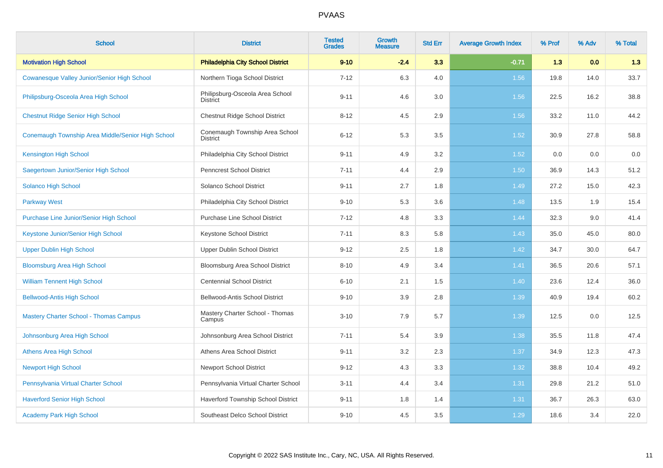| <b>School</b>                                     | <b>District</b>                                    | <b>Tested</b><br><b>Grades</b> | <b>Growth</b><br><b>Measure</b> | <b>Std Err</b> | <b>Average Growth Index</b> | % Prof | % Adv | % Total |
|---------------------------------------------------|----------------------------------------------------|--------------------------------|---------------------------------|----------------|-----------------------------|--------|-------|---------|
| <b>Motivation High School</b>                     | <b>Philadelphia City School District</b>           | $9 - 10$                       | $-2.4$                          | 3.3            | $-0.71$                     | 1.3    | 0.0   | 1.3     |
| Cowanesque Valley Junior/Senior High School       | Northern Tioga School District                     | $7 - 12$                       | 6.3                             | 4.0            | 1.56                        | 19.8   | 14.0  | 33.7    |
| Philipsburg-Osceola Area High School              | Philipsburg-Osceola Area School<br><b>District</b> | $9 - 11$                       | 4.6                             | 3.0            | 1.56                        | 22.5   | 16.2  | 38.8    |
| <b>Chestnut Ridge Senior High School</b>          | Chestnut Ridge School District                     | $8 - 12$                       | 4.5                             | 2.9            | 1.56                        | 33.2   | 11.0  | 44.2    |
| Conemaugh Township Area Middle/Senior High School | Conemaugh Township Area School<br><b>District</b>  | $6 - 12$                       | 5.3                             | 3.5            | 1.52                        | 30.9   | 27.8  | 58.8    |
| <b>Kensington High School</b>                     | Philadelphia City School District                  | $9 - 11$                       | 4.9                             | 3.2            | 1.52                        | 0.0    | 0.0   | 0.0     |
| Saegertown Junior/Senior High School              | <b>Penncrest School District</b>                   | $7 - 11$                       | 4.4                             | 2.9            | 1.50                        | 36.9   | 14.3  | 51.2    |
| Solanco High School                               | Solanco School District                            | $9 - 11$                       | 2.7                             | 1.8            | 1.49                        | 27.2   | 15.0  | 42.3    |
| <b>Parkway West</b>                               | Philadelphia City School District                  | $9 - 10$                       | 5.3                             | 3.6            | 1.48                        | 13.5   | 1.9   | 15.4    |
| <b>Purchase Line Junior/Senior High School</b>    | <b>Purchase Line School District</b>               | $7 - 12$                       | 4.8                             | 3.3            | 1.44                        | 32.3   | 9.0   | 41.4    |
| Keystone Junior/Senior High School                | <b>Keystone School District</b>                    | $7 - 11$                       | 8.3                             | 5.8            | 1.43                        | 35.0   | 45.0  | 80.0    |
| <b>Upper Dublin High School</b>                   | Upper Dublin School District                       | $9 - 12$                       | 2.5                             | 1.8            | 1.42                        | 34.7   | 30.0  | 64.7    |
| <b>Bloomsburg Area High School</b>                | Bloomsburg Area School District                    | $8 - 10$                       | 4.9                             | 3.4            | 1.41                        | 36.5   | 20.6  | 57.1    |
| <b>William Tennent High School</b>                | <b>Centennial School District</b>                  | $6 - 10$                       | 2.1                             | 1.5            | 1.40                        | 23.6   | 12.4  | 36.0    |
| <b>Bellwood-Antis High School</b>                 | Bellwood-Antis School District                     | $9 - 10$                       | 3.9                             | 2.8            | 1.39                        | 40.9   | 19.4  | 60.2    |
| <b>Mastery Charter School - Thomas Campus</b>     | Mastery Charter School - Thomas<br>Campus          | $3 - 10$                       | 7.9                             | 5.7            | 1.39                        | 12.5   | 0.0   | 12.5    |
| Johnsonburg Area High School                      | Johnsonburg Area School District                   | $7 - 11$                       | 5.4                             | 3.9            | 1.38                        | 35.5   | 11.8  | 47.4    |
| <b>Athens Area High School</b>                    | Athens Area School District                        | $9 - 11$                       | 3.2                             | 2.3            | 1.37                        | 34.9   | 12.3  | 47.3    |
| <b>Newport High School</b>                        | <b>Newport School District</b>                     | $9 - 12$                       | 4.3                             | 3.3            | 1.32                        | 38.8   | 10.4  | 49.2    |
| Pennsylvania Virtual Charter School               | Pennsylvania Virtual Charter School                | $3 - 11$                       | 4.4                             | 3.4            | 1.31                        | 29.8   | 21.2  | 51.0    |
| <b>Haverford Senior High School</b>               | Haverford Township School District                 | $9 - 11$                       | 1.8                             | 1.4            | 1.31                        | 36.7   | 26.3  | 63.0    |
| <b>Academy Park High School</b>                   | Southeast Delco School District                    | $9 - 10$                       | 4.5                             | 3.5            | 1.29                        | 18.6   | 3.4   | 22.0    |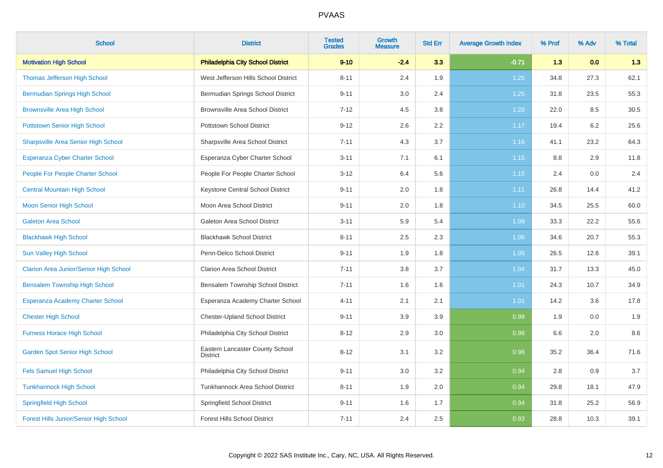| <b>School</b>                                 | <b>District</b>                                    | <b>Tested</b><br><b>Grades</b> | <b>Growth</b><br><b>Measure</b> | <b>Std Err</b> | <b>Average Growth Index</b> | % Prof | % Adv | % Total |
|-----------------------------------------------|----------------------------------------------------|--------------------------------|---------------------------------|----------------|-----------------------------|--------|-------|---------|
| <b>Motivation High School</b>                 | <b>Philadelphia City School District</b>           | $9 - 10$                       | $-2.4$                          | 3.3            | $-0.71$                     | 1.3    | 0.0   | 1.3     |
| Thomas Jefferson High School                  | West Jefferson Hills School District               | $8 - 11$                       | 2.4                             | 1.9            | 1.25                        | 34.8   | 27.3  | 62.1    |
| <b>Bermudian Springs High School</b>          | Bermudian Springs School District                  | $9 - 11$                       | 3.0                             | 2.4            | 1.25                        | 31.8   | 23.5  | 55.3    |
| <b>Brownsville Area High School</b>           | <b>Brownsville Area School District</b>            | $7 - 12$                       | 4.5                             | 3.8            | 1.20                        | 22.0   | 8.5   | 30.5    |
| <b>Pottstown Senior High School</b>           | <b>Pottstown School District</b>                   | $9 - 12$                       | 2.6                             | 2.2            | 1.17                        | 19.4   | 6.2   | 25.6    |
| Sharpsville Area Senior High School           | Sharpsville Area School District                   | $7 - 11$                       | 4.3                             | 3.7            | 1.16                        | 41.1   | 23.2  | 64.3    |
| <b>Esperanza Cyber Charter School</b>         | Esperanza Cyber Charter School                     | $3 - 11$                       | 7.1                             | 6.1            | 1.15                        | 8.8    | 2.9   | 11.8    |
| People For People Charter School              | People For People Charter School                   | $3 - 12$                       | 6.4                             | 5.6            | 1.15                        | 2.4    | 0.0   | 2.4     |
| <b>Central Mountain High School</b>           | Keystone Central School District                   | $9 - 11$                       | 2.0                             | 1.8            | 1.11                        | 26.8   | 14.4  | 41.2    |
| <b>Moon Senior High School</b>                | Moon Area School District                          | $9 - 11$                       | 2.0                             | 1.8            | 1.10                        | 34.5   | 25.5  | 60.0    |
| <b>Galeton Area School</b>                    | Galeton Area School District                       | $3 - 11$                       | 5.9                             | 5.4            | 1.09                        | 33.3   | 22.2  | 55.6    |
| <b>Blackhawk High School</b>                  | <b>Blackhawk School District</b>                   | $8 - 11$                       | 2.5                             | 2.3            | 1.06                        | 34.6   | 20.7  | 55.3    |
| <b>Sun Valley High School</b>                 | Penn-Delco School District                         | $9 - 11$                       | 1.9                             | 1.8            | 1.05                        | 26.5   | 12.6  | 39.1    |
| <b>Clarion Area Junior/Senior High School</b> | <b>Clarion Area School District</b>                | $7 - 11$                       | 3.8                             | 3.7            | 1.04                        | 31.7   | 13.3  | 45.0    |
| <b>Bensalem Township High School</b>          | Bensalem Township School District                  | $7 - 11$                       | 1.6                             | 1.6            | 1.01                        | 24.3   | 10.7  | 34.9    |
| Esperanza Academy Charter School              | Esperanza Academy Charter School                   | $4 - 11$                       | 2.1                             | 2.1            | 1.01                        | 14.2   | 3.6   | 17.8    |
| <b>Chester High School</b>                    | <b>Chester-Upland School District</b>              | $9 - 11$                       | 3.9                             | 3.9            | 0.99                        | 1.9    | 0.0   | 1.9     |
| <b>Furness Horace High School</b>             | Philadelphia City School District                  | $8 - 12$                       | 2.9                             | 3.0            | 0.98                        | 6.6    | 2.0   | 8.6     |
| <b>Garden Spot Senior High School</b>         | Eastern Lancaster County School<br><b>District</b> | $8 - 12$                       | 3.1                             | 3.2            | 0.98                        | 35.2   | 36.4  | 71.6    |
| <b>Fels Samuel High School</b>                | Philadelphia City School District                  | $9 - 11$                       | 3.0                             | 3.2            | 0.94                        | 2.8    | 0.9   | 3.7     |
| <b>Tunkhannock High School</b>                | Tunkhannock Area School District                   | $8 - 11$                       | 1.9                             | 2.0            | 0.94                        | 29.8   | 18.1  | 47.9    |
| Springfield High School                       | Springfield School District                        | $9 - 11$                       | 1.6                             | 1.7            | 0.94                        | 31.8   | 25.2  | 56.9    |
| Forest Hills Junior/Senior High School        | <b>Forest Hills School District</b>                | $7 - 11$                       | 2.4                             | 2.5            | 0.93                        | 28.8   | 10.3  | 39.1    |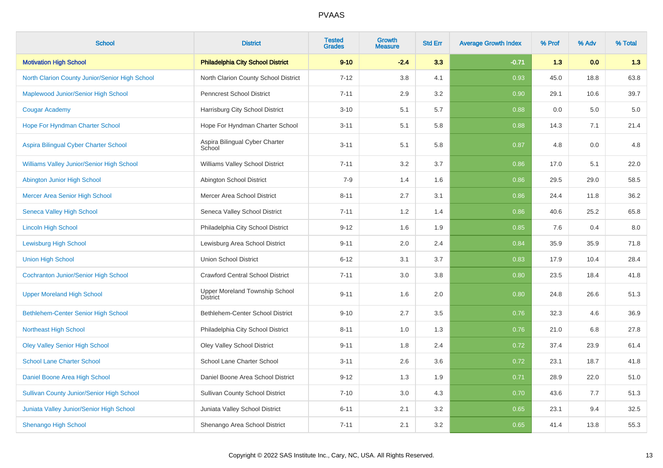| <b>School</b>                                    | <b>District</b>                                   | <b>Tested</b><br><b>Grades</b> | Growth<br><b>Measure</b> | <b>Std Err</b> | <b>Average Growth Index</b> | % Prof | % Adv | % Total |
|--------------------------------------------------|---------------------------------------------------|--------------------------------|--------------------------|----------------|-----------------------------|--------|-------|---------|
| <b>Motivation High School</b>                    | <b>Philadelphia City School District</b>          | $9 - 10$                       | $-2.4$                   | 3.3            | $-0.71$                     | 1.3    | 0.0   | 1.3     |
| North Clarion County Junior/Senior High School   | North Clarion County School District              | $7 - 12$                       | 3.8                      | 4.1            | 0.93                        | 45.0   | 18.8  | 63.8    |
| Maplewood Junior/Senior High School              | <b>Penncrest School District</b>                  | $7 - 11$                       | 2.9                      | 3.2            | 0.90                        | 29.1   | 10.6  | 39.7    |
| <b>Cougar Academy</b>                            | Harrisburg City School District                   | $3 - 10$                       | 5.1                      | 5.7            | 0.88                        | 0.0    | 5.0   | $5.0\,$ |
| Hope For Hyndman Charter School                  | Hope For Hyndman Charter School                   | $3 - 11$                       | 5.1                      | 5.8            | 0.88                        | 14.3   | 7.1   | 21.4    |
| Aspira Bilingual Cyber Charter School            | Aspira Bilingual Cyber Charter<br>School          | $3 - 11$                       | 5.1                      | 5.8            | 0.87                        | 4.8    | 0.0   | 4.8     |
| Williams Valley Junior/Senior High School        | Williams Valley School District                   | $7 - 11$                       | 3.2                      | 3.7            | 0.86                        | 17.0   | 5.1   | 22.0    |
| Abington Junior High School                      | Abington School District                          | $7 - 9$                        | 1.4                      | 1.6            | 0.86                        | 29.5   | 29.0  | 58.5    |
| Mercer Area Senior High School                   | Mercer Area School District                       | $8 - 11$                       | 2.7                      | 3.1            | 0.86                        | 24.4   | 11.8  | 36.2    |
| <b>Seneca Valley High School</b>                 | Seneca Valley School District                     | $7 - 11$                       | 1.2                      | 1.4            | 0.86                        | 40.6   | 25.2  | 65.8    |
| <b>Lincoln High School</b>                       | Philadelphia City School District                 | $9 - 12$                       | 1.6                      | 1.9            | 0.85                        | 7.6    | 0.4   | 8.0     |
| <b>Lewisburg High School</b>                     | Lewisburg Area School District                    | $9 - 11$                       | 2.0                      | 2.4            | 0.84                        | 35.9   | 35.9  | 71.8    |
| <b>Union High School</b>                         | <b>Union School District</b>                      | $6 - 12$                       | 3.1                      | 3.7            | 0.83                        | 17.9   | 10.4  | 28.4    |
| <b>Cochranton Junior/Senior High School</b>      | <b>Crawford Central School District</b>           | $7 - 11$                       | 3.0                      | 3.8            | 0.80                        | 23.5   | 18.4  | 41.8    |
| <b>Upper Moreland High School</b>                | Upper Moreland Township School<br><b>District</b> | $9 - 11$                       | 1.6                      | 2.0            | 0.80                        | 24.8   | 26.6  | 51.3    |
| <b>Bethlehem-Center Senior High School</b>       | Bethlehem-Center School District                  | $9 - 10$                       | 2.7                      | 3.5            | 0.76                        | 32.3   | 4.6   | 36.9    |
| <b>Northeast High School</b>                     | Philadelphia City School District                 | $8 - 11$                       | 1.0                      | 1.3            | 0.76                        | 21.0   | 6.8   | 27.8    |
| <b>Oley Valley Senior High School</b>            | <b>Oley Valley School District</b>                | $9 - 11$                       | 1.8                      | 2.4            | 0.72                        | 37.4   | 23.9  | 61.4    |
| <b>School Lane Charter School</b>                | School Lane Charter School                        | $3 - 11$                       | 2.6                      | 3.6            | 0.72                        | 23.1   | 18.7  | 41.8    |
| Daniel Boone Area High School                    | Daniel Boone Area School District                 | $9 - 12$                       | 1.3                      | 1.9            | 0.71                        | 28.9   | 22.0  | 51.0    |
| <b>Sullivan County Junior/Senior High School</b> | <b>Sullivan County School District</b>            | $7 - 10$                       | 3.0                      | 4.3            | 0.70                        | 43.6   | 7.7   | 51.3    |
| Juniata Valley Junior/Senior High School         | Juniata Valley School District                    | $6 - 11$                       | 2.1                      | 3.2            | 0.65                        | 23.1   | 9.4   | 32.5    |
| <b>Shenango High School</b>                      | Shenango Area School District                     | $7 - 11$                       | 2.1                      | 3.2            | 0.65                        | 41.4   | 13.8  | 55.3    |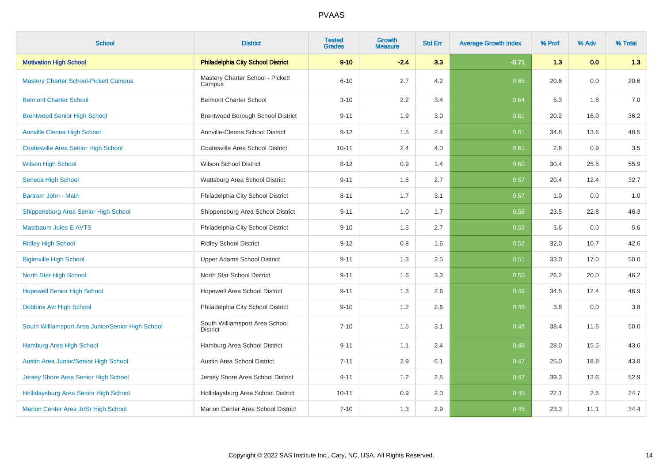| <b>School</b>                                     | <b>District</b>                                   | <b>Tested</b><br><b>Grades</b> | <b>Growth</b><br>Measure | <b>Std Err</b> | <b>Average Growth Index</b> | % Prof | % Adv | % Total |
|---------------------------------------------------|---------------------------------------------------|--------------------------------|--------------------------|----------------|-----------------------------|--------|-------|---------|
| <b>Motivation High School</b>                     | <b>Philadelphia City School District</b>          | $9 - 10$                       | $-2.4$                   | 3.3            | $-0.71$                     | 1.3    | 0.0   | 1.3     |
| <b>Mastery Charter School-Pickett Campus</b>      | Mastery Charter School - Pickett<br>Campus        | $6 - 10$                       | 2.7                      | 4.2            | 0.65                        | 20.6   | 0.0   | 20.6    |
| <b>Belmont Charter School</b>                     | <b>Belmont Charter School</b>                     | $3 - 10$                       | 2.2                      | 3.4            | 0.64                        | 5.3    | 1.8   | 7.0     |
| <b>Brentwood Senior High School</b>               | Brentwood Borough School District                 | $9 - 11$                       | 1.9                      | 3.0            | 0.61                        | 20.2   | 16.0  | 36.2    |
| <b>Annville Cleona High School</b>                | Annville-Cleona School District                   | $9 - 12$                       | 1.5                      | 2.4            | 0.61                        | 34.8   | 13.6  | 48.5    |
| <b>Coatesville Area Senior High School</b>        | Coatesville Area School District                  | $10 - 11$                      | 2.4                      | 4.0            | 0.61                        | 2.6    | 0.9   | $3.5\,$ |
| <b>Wilson High School</b>                         | <b>Wilson School District</b>                     | $8 - 12$                       | 0.9                      | 1.4            | 0.60                        | 30.4   | 25.5  | 55.9    |
| Seneca High School                                | Wattsburg Area School District                    | $9 - 11$                       | 1.6                      | 2.7            | 0.57                        | 20.4   | 12.4  | 32.7    |
| Bartram John - Main                               | Philadelphia City School District                 | $8 - 11$                       | 1.7                      | 3.1            | 0.57                        | 1.0    | 0.0   | 1.0     |
| Shippensburg Area Senior High School              | Shippensburg Area School District                 | $9 - 11$                       | 1.0                      | 1.7            | 0.56                        | 23.5   | 22.8  | 46.3    |
| <b>Mastbaum Jules E AVTS</b>                      | Philadelphia City School District                 | $9 - 10$                       | 1.5                      | 2.7            | 0.53                        | 5.6    | 0.0   | 5.6     |
| <b>Ridley High School</b>                         | <b>Ridley School District</b>                     | $9 - 12$                       | 0.8                      | 1.6            | 0.52                        | 32.0   | 10.7  | 42.6    |
| <b>Biglerville High School</b>                    | Upper Adams School District                       | $9 - 11$                       | 1.3                      | 2.5            | 0.51                        | 33.0   | 17.0  | 50.0    |
| North Star High School                            | North Star School District                        | $9 - 11$                       | 1.6                      | 3.3            | 0.50                        | 26.2   | 20.0  | 46.2    |
| <b>Hopewell Senior High School</b>                | Hopewell Area School District                     | $9 - 11$                       | 1.3                      | 2.6            | 0.49                        | 34.5   | 12.4  | 46.9    |
| Dobbins Avt High School                           | Philadelphia City School District                 | $9 - 10$                       | 1.2                      | 2.6            | 0.48                        | 3.8    | 0.0   | $3.8\,$ |
| South Williamsport Area Junior/Senior High School | South Williamsport Area School<br><b>District</b> | $7 - 10$                       | 1.5                      | 3.1            | 0.48                        | 38.4   | 11.6  | 50.0    |
| Hamburg Area High School                          | Hamburg Area School District                      | $9 - 11$                       | 1.1                      | 2.4            | 0.48                        | 28.0   | 15.5  | 43.6    |
| Austin Area Junior/Senior High School             | Austin Area School District                       | $7 - 11$                       | 2.9                      | 6.1            | 0.47                        | 25.0   | 18.8  | 43.8    |
| Jersey Shore Area Senior High School              | Jersey Shore Area School District                 | $9 - 11$                       | 1.2                      | 2.5            | 0.47                        | 39.3   | 13.6  | 52.9    |
| Hollidaysburg Area Senior High School             | Hollidaysburg Area School District                | $10 - 11$                      | 0.9                      | 2.0            | 0.45                        | 22.1   | 2.6   | 24.7    |
| Marion Center Area Jr/Sr High School              | Marion Center Area School District                | $7 - 10$                       | 1.3                      | 2.9            | 0.45                        | 23.3   | 11.1  | 34.4    |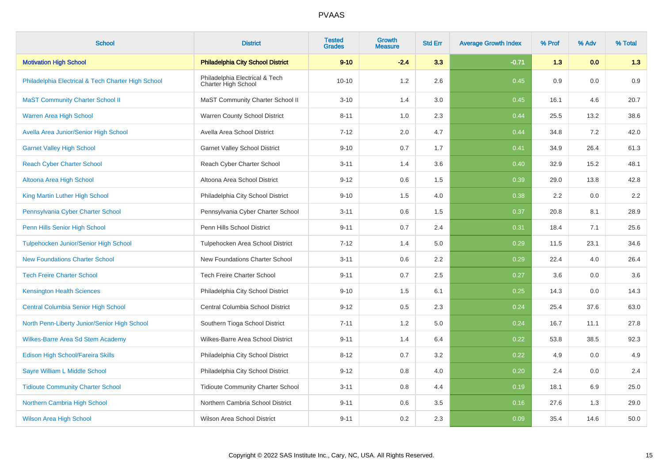| <b>School</b>                                      | <b>District</b>                                       | <b>Tested</b><br><b>Grades</b> | Growth<br><b>Measure</b> | <b>Std Err</b> | <b>Average Growth Index</b> | % Prof | % Adv | % Total |
|----------------------------------------------------|-------------------------------------------------------|--------------------------------|--------------------------|----------------|-----------------------------|--------|-------|---------|
| <b>Motivation High School</b>                      | <b>Philadelphia City School District</b>              | $9 - 10$                       | $-2.4$                   | 3.3            | $-0.71$                     | 1.3    | 0.0   | 1.3     |
| Philadelphia Electrical & Tech Charter High School | Philadelphia Electrical & Tech<br>Charter High School | $10 - 10$                      | 1.2                      | 2.6            | 0.45                        | 0.9    | 0.0   | 0.9     |
| <b>MaST Community Charter School II</b>            | MaST Community Charter School II                      | $3 - 10$                       | 1.4                      | 3.0            | 0.45                        | 16.1   | 4.6   | 20.7    |
| <b>Warren Area High School</b>                     | Warren County School District                         | $8 - 11$                       | 1.0                      | 2.3            | 0.44                        | 25.5   | 13.2  | 38.6    |
| Avella Area Junior/Senior High School              | Avella Area School District                           | $7 - 12$                       | 2.0                      | 4.7            | 0.44                        | 34.8   | 7.2   | 42.0    |
| <b>Garnet Valley High School</b>                   | <b>Garnet Valley School District</b>                  | $9 - 10$                       | 0.7                      | 1.7            | 0.41                        | 34.9   | 26.4  | 61.3    |
| <b>Reach Cyber Charter School</b>                  | Reach Cyber Charter School                            | $3 - 11$                       | 1.4                      | 3.6            | 0.40                        | 32.9   | 15.2  | 48.1    |
| Altoona Area High School                           | Altoona Area School District                          | $9 - 12$                       | 0.6                      | 1.5            | 0.39                        | 29.0   | 13.8  | 42.8    |
| King Martin Luther High School                     | Philadelphia City School District                     | $9 - 10$                       | 1.5                      | 4.0            | 0.38                        | 2.2    | 0.0   | 2.2     |
| Pennsylvania Cyber Charter School                  | Pennsylvania Cyber Charter School                     | $3 - 11$                       | 0.6                      | 1.5            | 0.37                        | 20.8   | 8.1   | 28.9    |
| Penn Hills Senior High School                      | Penn Hills School District                            | $9 - 11$                       | 0.7                      | 2.4            | 0.31                        | 18.4   | 7.1   | 25.6    |
| Tulpehocken Junior/Senior High School              | Tulpehocken Area School District                      | $7 - 12$                       | 1.4                      | 5.0            | 0.29                        | 11.5   | 23.1  | 34.6    |
| <b>New Foundations Charter School</b>              | New Foundations Charter School                        | $3 - 11$                       | 0.6                      | 2.2            | 0.29                        | 22.4   | 4.0   | 26.4    |
| <b>Tech Freire Charter School</b>                  | <b>Tech Freire Charter School</b>                     | $9 - 11$                       | 0.7                      | 2.5            | 0.27                        | 3.6    | 0.0   | 3.6     |
| <b>Kensington Health Sciences</b>                  | Philadelphia City School District                     | $9 - 10$                       | 1.5                      | 6.1            | 0.25                        | 14.3   | 0.0   | 14.3    |
| <b>Central Columbia Senior High School</b>         | Central Columbia School District                      | $9 - 12$                       | 0.5                      | 2.3            | 0.24                        | 25.4   | 37.6  | 63.0    |
| North Penn-Liberty Junior/Senior High School       | Southern Tioga School District                        | $7 - 11$                       | 1.2                      | 5.0            | 0.24                        | 16.7   | 11.1  | 27.8    |
| <b>Wilkes-Barre Area Sd Stem Academy</b>           | Wilkes-Barre Area School District                     | $9 - 11$                       | 1.4                      | 6.4            | 0.22                        | 53.8   | 38.5  | 92.3    |
| Edison High School/Fareira Skills                  | Philadelphia City School District                     | $8 - 12$                       | 0.7                      | 3.2            | 0.22                        | 4.9    | 0.0   | 4.9     |
| Sayre William L Middle School                      | Philadelphia City School District                     | $9 - 12$                       | 0.8                      | 4.0            | 0.20                        | 2.4    | 0.0   | 2.4     |
| <b>Tidioute Community Charter School</b>           | <b>Tidioute Community Charter School</b>              | $3 - 11$                       | 0.8                      | 4.4            | 0.19                        | 18.1   | 6.9   | 25.0    |
| Northern Cambria High School                       | Northern Cambria School District                      | $9 - 11$                       | 0.6                      | 3.5            | 0.16                        | 27.6   | 1.3   | 29.0    |
| <b>Wilson Area High School</b>                     | Wilson Area School District                           | $9 - 11$                       | 0.2                      | 2.3            | 0.09                        | 35.4   | 14.6  | 50.0    |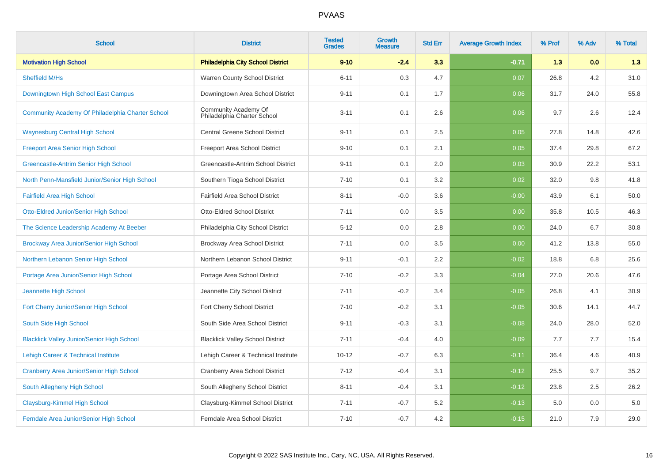| <b>School</b>                                     | <b>District</b>                                     | <b>Tested</b><br><b>Grades</b> | Growth<br>Measure | <b>Std Err</b> | <b>Average Growth Index</b> | % Prof | % Adv | % Total |
|---------------------------------------------------|-----------------------------------------------------|--------------------------------|-------------------|----------------|-----------------------------|--------|-------|---------|
| <b>Motivation High School</b>                     | <b>Philadelphia City School District</b>            | $9 - 10$                       | $-2.4$            | 3.3            | $-0.71$                     | 1.3    | 0.0   | 1.3     |
| <b>Sheffield M/Hs</b>                             | Warren County School District                       | $6 - 11$                       | 0.3               | 4.7            | 0.07                        | 26.8   | 4.2   | 31.0    |
| Downingtown High School East Campus               | Downingtown Area School District                    | $9 - 11$                       | 0.1               | 1.7            | 0.06                        | 31.7   | 24.0  | 55.8    |
| Community Academy Of Philadelphia Charter School  | Community Academy Of<br>Philadelphia Charter School | $3 - 11$                       | 0.1               | 2.6            | 0.06                        | 9.7    | 2.6   | 12.4    |
| <b>Waynesburg Central High School</b>             | <b>Central Greene School District</b>               | $9 - 11$                       | 0.1               | 2.5            | 0.05                        | 27.8   | 14.8  | 42.6    |
| <b>Freeport Area Senior High School</b>           | Freeport Area School District                       | $9 - 10$                       | 0.1               | 2.1            | 0.05                        | 37.4   | 29.8  | 67.2    |
| Greencastle-Antrim Senior High School             | Greencastle-Antrim School District                  | $9 - 11$                       | 0.1               | 2.0            | 0.03                        | 30.9   | 22.2  | 53.1    |
| North Penn-Mansfield Junior/Senior High School    | Southern Tioga School District                      | $7 - 10$                       | 0.1               | 3.2            | 0.02                        | 32.0   | 9.8   | 41.8    |
| <b>Fairfield Area High School</b>                 | Fairfield Area School District                      | $8 - 11$                       | $-0.0$            | 3.6            | $-0.00$                     | 43.9   | 6.1   | 50.0    |
| Otto-Eldred Junior/Senior High School             | <b>Otto-Eldred School District</b>                  | $7 - 11$                       | 0.0               | 3.5            | 0.00                        | 35.8   | 10.5  | 46.3    |
| The Science Leadership Academy At Beeber          | Philadelphia City School District                   | $5 - 12$                       | 0.0               | 2.8            | 0.00                        | 24.0   | 6.7   | 30.8    |
| <b>Brockway Area Junior/Senior High School</b>    | Brockway Area School District                       | $7 - 11$                       | 0.0               | 3.5            | 0.00                        | 41.2   | 13.8  | 55.0    |
| Northern Lebanon Senior High School               | Northern Lebanon School District                    | $9 - 11$                       | $-0.1$            | 2.2            | $-0.02$                     | 18.8   | 6.8   | 25.6    |
| Portage Area Junior/Senior High School            | Portage Area School District                        | $7 - 10$                       | $-0.2$            | 3.3            | $-0.04$                     | 27.0   | 20.6  | 47.6    |
| Jeannette High School                             | Jeannette City School District                      | $7 - 11$                       | $-0.2$            | 3.4            | $-0.05$                     | 26.8   | 4.1   | 30.9    |
| Fort Cherry Junior/Senior High School             | Fort Cherry School District                         | $7 - 10$                       | $-0.2$            | 3.1            | $-0.05$                     | 30.6   | 14.1  | 44.7    |
| South Side High School                            | South Side Area School District                     | $9 - 11$                       | $-0.3$            | 3.1            | $-0.08$                     | 24.0   | 28.0  | 52.0    |
| <b>Blacklick Valley Junior/Senior High School</b> | <b>Blacklick Valley School District</b>             | $7 - 11$                       | $-0.4$            | 4.0            | $-0.09$                     | 7.7    | 7.7   | 15.4    |
| Lehigh Career & Technical Institute               | Lehigh Career & Technical Institute                 | $10 - 12$                      | $-0.7$            | 6.3            | $-0.11$                     | 36.4   | 4.6   | 40.9    |
| <b>Cranberry Area Junior/Senior High School</b>   | <b>Cranberry Area School District</b>               | $7 - 12$                       | $-0.4$            | 3.1            | $-0.12$                     | 25.5   | 9.7   | 35.2    |
| South Allegheny High School                       | South Allegheny School District                     | $8 - 11$                       | $-0.4$            | 3.1            | $-0.12$                     | 23.8   | 2.5   | 26.2    |
| Claysburg-Kimmel High School                      | Claysburg-Kimmel School District                    | $7 - 11$                       | $-0.7$            | 5.2            | $-0.13$                     | 5.0    | 0.0   | 5.0     |
| Ferndale Area Junior/Senior High School           | Ferndale Area School District                       | $7 - 10$                       | $-0.7$            | 4.2            | $-0.15$                     | 21.0   | 7.9   | 29.0    |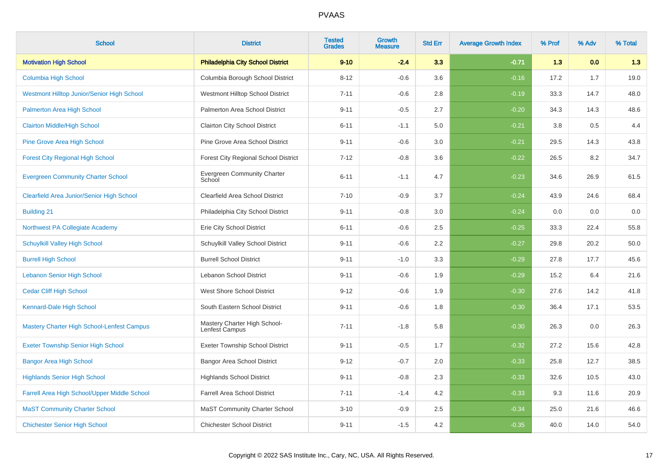| <b>School</b>                                | <b>District</b>                                | <b>Tested</b><br><b>Grades</b> | Growth<br><b>Measure</b> | <b>Std Err</b> | <b>Average Growth Index</b> | % Prof | % Adv | % Total |
|----------------------------------------------|------------------------------------------------|--------------------------------|--------------------------|----------------|-----------------------------|--------|-------|---------|
| <b>Motivation High School</b>                | <b>Philadelphia City School District</b>       | $9 - 10$                       | $-2.4$                   | 3.3            | $-0.71$                     | 1.3    | 0.0   | 1.3     |
| <b>Columbia High School</b>                  | Columbia Borough School District               | $8 - 12$                       | $-0.6$                   | 3.6            | $-0.16$                     | 17.2   | 1.7   | 19.0    |
| Westmont Hilltop Junior/Senior High School   | Westmont Hilltop School District               | $7 - 11$                       | $-0.6$                   | 2.8            | $-0.19$                     | 33.3   | 14.7  | 48.0    |
| Palmerton Area High School                   | Palmerton Area School District                 | $9 - 11$                       | $-0.5$                   | 2.7            | $-0.20$                     | 34.3   | 14.3  | 48.6    |
| <b>Clairton Middle/High School</b>           | <b>Clairton City School District</b>           | $6 - 11$                       | $-1.1$                   | 5.0            | $-0.21$                     | 3.8    | 0.5   | 4.4     |
| <b>Pine Grove Area High School</b>           | Pine Grove Area School District                | $9 - 11$                       | $-0.6$                   | 3.0            | $-0.21$                     | 29.5   | 14.3  | 43.8    |
| <b>Forest City Regional High School</b>      | Forest City Regional School District           | $7 - 12$                       | $-0.8$                   | 3.6            | $-0.22$                     | 26.5   | 8.2   | 34.7    |
| <b>Evergreen Community Charter School</b>    | <b>Evergreen Community Charter</b><br>School   | $6 - 11$                       | $-1.1$                   | 4.7            | $-0.23$                     | 34.6   | 26.9  | 61.5    |
| Clearfield Area Junior/Senior High School    | Clearfield Area School District                | $7 - 10$                       | $-0.9$                   | 3.7            | $-0.24$                     | 43.9   | 24.6  | 68.4    |
| <b>Building 21</b>                           | Philadelphia City School District              | $9 - 11$                       | $-0.8$                   | 3.0            | $-0.24$                     | 0.0    | 0.0   | $0.0\,$ |
| Northwest PA Collegiate Academy              | Erie City School District                      | $6 - 11$                       | $-0.6$                   | 2.5            | $-0.25$                     | 33.3   | 22.4  | 55.8    |
| <b>Schuylkill Valley High School</b>         | Schuylkill Valley School District              | $9 - 11$                       | $-0.6$                   | 2.2            | $-0.27$                     | 29.8   | 20.2  | 50.0    |
| <b>Burrell High School</b>                   | <b>Burrell School District</b>                 | $9 - 11$                       | $-1.0$                   | 3.3            | $-0.29$                     | 27.8   | 17.7  | 45.6    |
| <b>Lebanon Senior High School</b>            | Lebanon School District                        | $9 - 11$                       | $-0.6$                   | 1.9            | $-0.29$                     | 15.2   | 6.4   | 21.6    |
| <b>Cedar Cliff High School</b>               | West Shore School District                     | $9 - 12$                       | $-0.6$                   | 1.9            | $-0.30$                     | 27.6   | 14.2  | 41.8    |
| Kennard-Dale High School                     | South Eastern School District                  | $9 - 11$                       | $-0.6$                   | 1.8            | $-0.30$                     | 36.4   | 17.1  | 53.5    |
| Mastery Charter High School-Lenfest Campus   | Mastery Charter High School-<br>Lenfest Campus | $7 - 11$                       | $-1.8$                   | 5.8            | $-0.30$                     | 26.3   | 0.0   | 26.3    |
| <b>Exeter Township Senior High School</b>    | <b>Exeter Township School District</b>         | $9 - 11$                       | $-0.5$                   | 1.7            | $-0.32$                     | 27.2   | 15.6  | 42.8    |
| <b>Bangor Area High School</b>               | <b>Bangor Area School District</b>             | $9 - 12$                       | $-0.7$                   | 2.0            | $-0.33$                     | 25.8   | 12.7  | 38.5    |
| <b>Highlands Senior High School</b>          | <b>Highlands School District</b>               | $9 - 11$                       | $-0.8$                   | 2.3            | $-0.33$                     | 32.6   | 10.5  | 43.0    |
| Farrell Area High School/Upper Middle School | <b>Farrell Area School District</b>            | $7 - 11$                       | $-1.4$                   | 4.2            | $-0.33$                     | 9.3    | 11.6  | 20.9    |
| <b>MaST Community Charter School</b>         | <b>MaST Community Charter School</b>           | $3 - 10$                       | $-0.9$                   | 2.5            | $-0.34$                     | 25.0   | 21.6  | 46.6    |
| <b>Chichester Senior High School</b>         | <b>Chichester School District</b>              | $9 - 11$                       | $-1.5$                   | 4.2            | $-0.35$                     | 40.0   | 14.0  | 54.0    |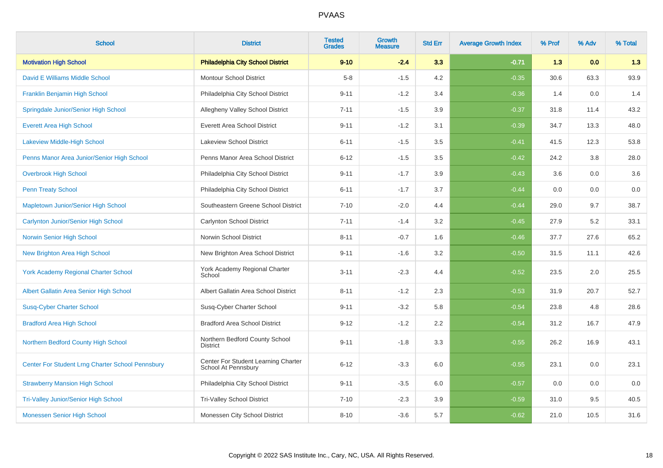| <b>School</b>                                    | <b>District</b>                                            | <b>Tested</b><br><b>Grades</b> | <b>Growth</b><br><b>Measure</b> | <b>Std Err</b> | <b>Average Growth Index</b> | % Prof | % Adv | % Total |
|--------------------------------------------------|------------------------------------------------------------|--------------------------------|---------------------------------|----------------|-----------------------------|--------|-------|---------|
| <b>Motivation High School</b>                    | <b>Philadelphia City School District</b>                   | $9 - 10$                       | $-2.4$                          | 3.3            | $-0.71$                     | 1.3    | 0.0   | 1.3     |
| David E Williams Middle School                   | <b>Montour School District</b>                             | $5 - 8$                        | $-1.5$                          | 4.2            | $-0.35$                     | 30.6   | 63.3  | 93.9    |
| Franklin Benjamin High School                    | Philadelphia City School District                          | $9 - 11$                       | $-1.2$                          | 3.4            | $-0.36$                     | 1.4    | 0.0   | 1.4     |
| Springdale Junior/Senior High School             | Allegheny Valley School District                           | $7 - 11$                       | $-1.5$                          | 3.9            | $-0.37$                     | 31.8   | 11.4  | 43.2    |
| <b>Everett Area High School</b>                  | <b>Everett Area School District</b>                        | $9 - 11$                       | $-1.2$                          | 3.1            | $-0.39$                     | 34.7   | 13.3  | 48.0    |
| <b>Lakeview Middle-High School</b>               | <b>Lakeview School District</b>                            | $6 - 11$                       | $-1.5$                          | 3.5            | $-0.41$                     | 41.5   | 12.3  | 53.8    |
| Penns Manor Area Junior/Senior High School       | Penns Manor Area School District                           | $6 - 12$                       | $-1.5$                          | 3.5            | $-0.42$                     | 24.2   | 3.8   | 28.0    |
| <b>Overbrook High School</b>                     | Philadelphia City School District                          | $9 - 11$                       | $-1.7$                          | 3.9            | $-0.43$                     | 3.6    | 0.0   | 3.6     |
| <b>Penn Treaty School</b>                        | Philadelphia City School District                          | $6 - 11$                       | $-1.7$                          | 3.7            | $-0.44$                     | 0.0    | 0.0   | $0.0\,$ |
| Mapletown Junior/Senior High School              | Southeastern Greene School District                        | $7 - 10$                       | $-2.0$                          | 4.4            | $-0.44$                     | 29.0   | 9.7   | 38.7    |
| Carlynton Junior/Senior High School              | Carlynton School District                                  | $7 - 11$                       | $-1.4$                          | 3.2            | $-0.45$                     | 27.9   | 5.2   | 33.1    |
| Norwin Senior High School                        | Norwin School District                                     | $8 - 11$                       | $-0.7$                          | 1.6            | $-0.46$                     | 37.7   | 27.6  | 65.2    |
| <b>New Brighton Area High School</b>             | New Brighton Area School District                          | $9 - 11$                       | $-1.6$                          | 3.2            | $-0.50$                     | 31.5   | 11.1  | 42.6    |
| <b>York Academy Regional Charter School</b>      | York Academy Regional Charter<br>School                    | $3 - 11$                       | $-2.3$                          | 4.4            | $-0.52$                     | 23.5   | 2.0   | 25.5    |
| Albert Gallatin Area Senior High School          | Albert Gallatin Area School District                       | $8 - 11$                       | $-1.2$                          | 2.3            | $-0.53$                     | 31.9   | 20.7  | 52.7    |
| <b>Susq-Cyber Charter School</b>                 | Susq-Cyber Charter School                                  | $9 - 11$                       | $-3.2$                          | 5.8            | $-0.54$                     | 23.8   | 4.8   | 28.6    |
| <b>Bradford Area High School</b>                 | <b>Bradford Area School District</b>                       | $9 - 12$                       | $-1.2$                          | 2.2            | $-0.54$                     | 31.2   | 16.7  | 47.9    |
| Northern Bedford County High School              | Northern Bedford County School<br><b>District</b>          | $9 - 11$                       | $-1.8$                          | 3.3            | $-0.55$                     | 26.2   | 16.9  | 43.1    |
| Center For Student Lrng Charter School Pennsbury | Center For Student Learning Charter<br>School At Pennsbury | $6 - 12$                       | $-3.3$                          | 6.0            | $-0.55$                     | 23.1   | 0.0   | 23.1    |
| <b>Strawberry Mansion High School</b>            | Philadelphia City School District                          | $9 - 11$                       | $-3.5$                          | 6.0            | $-0.57$                     | 0.0    | 0.0   | 0.0     |
| <b>Tri-Valley Junior/Senior High School</b>      | <b>Tri-Valley School District</b>                          | $7 - 10$                       | $-2.3$                          | 3.9            | $-0.59$                     | 31.0   | 9.5   | 40.5    |
| Monessen Senior High School                      | Monessen City School District                              | $8 - 10$                       | $-3.6$                          | 5.7            | $-0.62$                     | 21.0   | 10.5  | 31.6    |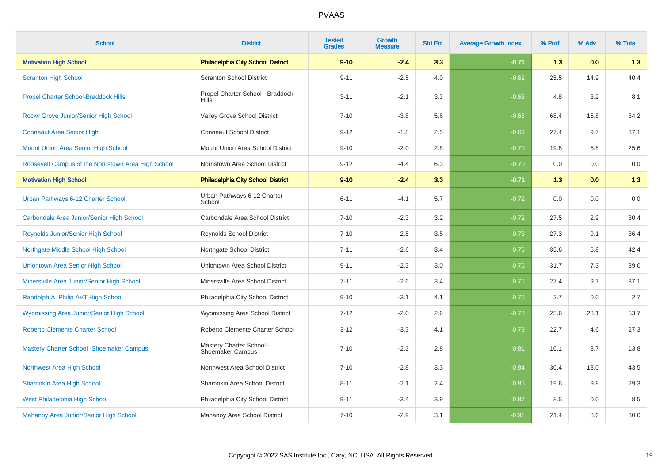| <b>School</b>                                       | <b>District</b>                                  | <b>Tested</b><br><b>Grades</b> | <b>Growth</b><br><b>Measure</b> | <b>Std Err</b> | <b>Average Growth Index</b> | % Prof | % Adv | % Total |
|-----------------------------------------------------|--------------------------------------------------|--------------------------------|---------------------------------|----------------|-----------------------------|--------|-------|---------|
| <b>Motivation High School</b>                       | <b>Philadelphia City School District</b>         | $9 - 10$                       | $-2.4$                          | 3.3            | $-0.71$                     | 1.3    | 0.0   | 1.3     |
| <b>Scranton High School</b>                         | <b>Scranton School District</b>                  | $9 - 11$                       | $-2.5$                          | 4.0            | $-0.62$                     | 25.5   | 14.9  | 40.4    |
| <b>Propel Charter School-Braddock Hills</b>         | Propel Charter School - Braddock<br><b>Hills</b> | $3 - 11$                       | $-2.1$                          | 3.3            | $-0.63$                     | 4.8    | 3.2   | 8.1     |
| Rocky Grove Junior/Senior High School               | Valley Grove School District                     | $7 - 10$                       | $-3.8$                          | 5.6            | $-0.68$                     | 68.4   | 15.8  | 84.2    |
| <b>Conneaut Area Senior High</b>                    | <b>Conneaut School District</b>                  | $9 - 12$                       | $-1.8$                          | 2.5            | $-0.69$                     | 27.4   | 9.7   | 37.1    |
| Mount Union Area Senior High School                 | Mount Union Area School District                 | $9 - 10$                       | $-2.0$                          | 2.8            | $-0.70$                     | 19.8   | 5.8   | 25.6    |
| Roosevelt Campus of the Norristown Area High School | Norristown Area School District                  | $9 - 12$                       | $-4.4$                          | 6.3            | $-0.70$                     | 0.0    | 0.0   | $0.0\,$ |
| <b>Motivation High School</b>                       | <b>Philadelphia City School District</b>         | $9 - 10$                       | $-2.4$                          | 3.3            | $-0.71$                     | 1.3    | 0.0   | 1.3     |
| Urban Pathways 6-12 Charter School                  | Urban Pathways 6-12 Charter<br>School            | $6 - 11$                       | $-4.1$                          | 5.7            | $-0.72$                     | 0.0    | 0.0   | $0.0\,$ |
| Carbondale Area Junior/Senior High School           | Carbondale Area School District                  | $7 - 10$                       | $-2.3$                          | 3.2            | $-0.72$                     | 27.5   | 2.9   | 30.4    |
| <b>Reynolds Junior/Senior High School</b>           | <b>Reynolds School District</b>                  | $7 - 10$                       | $-2.5$                          | 3.5            | $-0.73$                     | 27.3   | 9.1   | 36.4    |
| Northgate Middle School High School                 | Northgate School District                        | $7 - 11$                       | $-2.6$                          | 3.4            | $-0.75$                     | 35.6   | 6.8   | 42.4    |
| Uniontown Area Senior High School                   | Uniontown Area School District                   | $9 - 11$                       | $-2.3$                          | 3.0            | $-0.75$                     | 31.7   | 7.3   | 39.0    |
| Minersville Area Junior/Senior High School          | Minersville Area School District                 | $7 - 11$                       | $-2.6$                          | 3.4            | $-0.75$                     | 27.4   | 9.7   | 37.1    |
| Randolph A. Philip AVT High School                  | Philadelphia City School District                | $9 - 10$                       | $-3.1$                          | 4.1            | $-0.76$                     | 2.7    | 0.0   | 2.7     |
| <b>Wyomissing Area Junior/Senior High School</b>    | Wyomissing Area School District                  | $7 - 12$                       | $-2.0$                          | 2.6            | $-0.78$                     | 25.6   | 28.1  | 53.7    |
| <b>Roberto Clemente Charter School</b>              | Roberto Clemente Charter School                  | $3 - 12$                       | $-3.3$                          | 4.1            | $-0.79$                     | 22.7   | 4.6   | 27.3    |
| <b>Mastery Charter School - Shoemaker Campus</b>    | Mastery Charter School -<br>Shoemaker Campus     | $7 - 10$                       | $-2.3$                          | 2.8            | $-0.81$                     | 10.1   | 3.7   | 13.8    |
| Northwest Area High School                          | Northwest Area School District                   | $7 - 10$                       | $-2.8$                          | 3.3            | $-0.84$                     | 30.4   | 13.0  | 43.5    |
| <b>Shamokin Area High School</b>                    | Shamokin Area School District                    | $8 - 11$                       | $-2.1$                          | 2.4            | $-0.85$                     | 19.6   | 9.8   | 29.3    |
| West Philadelphia High School                       | Philadelphia City School District                | $9 - 11$                       | $-3.4$                          | 3.9            | $-0.87$                     | 8.5    | 0.0   | 8.5     |
| Mahanoy Area Junior/Senior High School              | Mahanoy Area School District                     | $7 - 10$                       | $-2.9$                          | 3.1            | $-0.91$                     | 21.4   | 8.6   | 30.0    |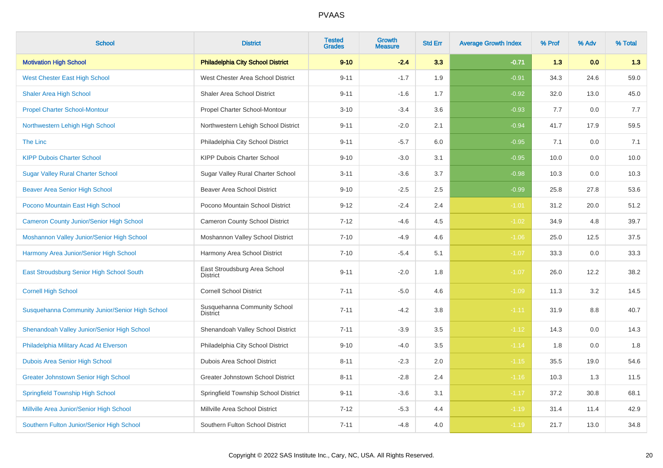| <b>School</b>                                   | <b>District</b>                                 | <b>Tested</b><br><b>Grades</b> | <b>Growth</b><br><b>Measure</b> | <b>Std Err</b> | <b>Average Growth Index</b> | % Prof | % Adv | % Total |
|-------------------------------------------------|-------------------------------------------------|--------------------------------|---------------------------------|----------------|-----------------------------|--------|-------|---------|
| <b>Motivation High School</b>                   | <b>Philadelphia City School District</b>        | $9 - 10$                       | $-2.4$                          | 3.3            | $-0.71$                     | 1.3    | 0.0   | 1.3     |
| <b>West Chester East High School</b>            | West Chester Area School District               | $9 - 11$                       | $-1.7$                          | 1.9            | $-0.91$                     | 34.3   | 24.6  | 59.0    |
| <b>Shaler Area High School</b>                  | Shaler Area School District                     | $9 - 11$                       | $-1.6$                          | 1.7            | $-0.92$                     | 32.0   | 13.0  | 45.0    |
| <b>Propel Charter School-Montour</b>            | Propel Charter School-Montour                   | $3 - 10$                       | $-3.4$                          | 3.6            | $-0.93$                     | 7.7    | 0.0   | 7.7     |
| Northwestern Lehigh High School                 | Northwestern Lehigh School District             | $9 - 11$                       | $-2.0$                          | 2.1            | $-0.94$                     | 41.7   | 17.9  | 59.5    |
| <b>The Linc</b>                                 | Philadelphia City School District               | $9 - 11$                       | $-5.7$                          | 6.0            | $-0.95$                     | 7.1    | 0.0   | 7.1     |
| <b>KIPP Dubois Charter School</b>               | KIPP Dubois Charter School                      | $9 - 10$                       | $-3.0$                          | 3.1            | $-0.95$                     | 10.0   | 0.0   | 10.0    |
| <b>Sugar Valley Rural Charter School</b>        | Sugar Valley Rural Charter School               | $3 - 11$                       | $-3.6$                          | 3.7            | $-0.98$                     | 10.3   | 0.0   | 10.3    |
| <b>Beaver Area Senior High School</b>           | <b>Beaver Area School District</b>              | $9 - 10$                       | $-2.5$                          | 2.5            | $-0.99$                     | 25.8   | 27.8  | 53.6    |
| Pocono Mountain East High School                | Pocono Mountain School District                 | $9 - 12$                       | $-2.4$                          | 2.4            | $-1.01$                     | 31.2   | 20.0  | 51.2    |
| <b>Cameron County Junior/Senior High School</b> | Cameron County School District                  | $7 - 12$                       | $-4.6$                          | 4.5            | $-1.02$                     | 34.9   | 4.8   | 39.7    |
| Moshannon Valley Junior/Senior High School      | Moshannon Valley School District                | $7 - 10$                       | $-4.9$                          | 4.6            | $-1.06$                     | 25.0   | 12.5  | 37.5    |
| Harmony Area Junior/Senior High School          | Harmony Area School District                    | $7 - 10$                       | $-5.4$                          | 5.1            | $-1.07$                     | 33.3   | 0.0   | 33.3    |
| East Stroudsburg Senior High School South       | East Stroudsburg Area School<br><b>District</b> | $9 - 11$                       | $-2.0$                          | 1.8            | $-1.07$                     | 26.0   | 12.2  | 38.2    |
| <b>Cornell High School</b>                      | <b>Cornell School District</b>                  | $7 - 11$                       | $-5.0$                          | 4.6            | $-1.09$                     | 11.3   | 3.2   | 14.5    |
| Susquehanna Community Junior/Senior High School | Susquehanna Community School<br><b>District</b> | $7 - 11$                       | $-4.2$                          | 3.8            | $-1.11$                     | 31.9   | 8.8   | 40.7    |
| Shenandoah Valley Junior/Senior High School     | Shenandoah Valley School District               | $7 - 11$                       | $-3.9$                          | 3.5            | $-1.12$                     | 14.3   | 0.0   | 14.3    |
| Philadelphia Military Acad At Elverson          | Philadelphia City School District               | $9 - 10$                       | $-4.0$                          | 3.5            | $-1.14$                     | 1.8    | 0.0   | 1.8     |
| Dubois Area Senior High School                  | Dubois Area School District                     | $8 - 11$                       | $-2.3$                          | 2.0            | $-1.15$                     | 35.5   | 19.0  | 54.6    |
| <b>Greater Johnstown Senior High School</b>     | Greater Johnstown School District               | $8 - 11$                       | $-2.8$                          | 2.4            | $-1.16$                     | 10.3   | 1.3   | 11.5    |
| <b>Springfield Township High School</b>         | Springfield Township School District            | $9 - 11$                       | $-3.6$                          | 3.1            | $-1.17$                     | 37.2   | 30.8  | 68.1    |
| Millville Area Junior/Senior High School        | Millville Area School District                  | $7 - 12$                       | $-5.3$                          | 4.4            | $-1.19$                     | 31.4   | 11.4  | 42.9    |
| Southern Fulton Junior/Senior High School       | Southern Fulton School District                 | $7 - 11$                       | $-4.8$                          | 4.0            | $-1.19$                     | 21.7   | 13.0  | 34.8    |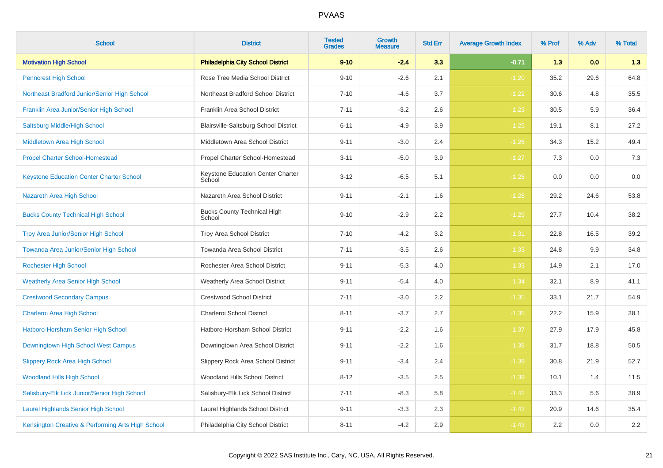| <b>School</b>                                     | <b>District</b>                              | <b>Tested</b><br><b>Grades</b> | Growth<br><b>Measure</b> | <b>Std Err</b> | <b>Average Growth Index</b> | % Prof | % Adv | % Total |
|---------------------------------------------------|----------------------------------------------|--------------------------------|--------------------------|----------------|-----------------------------|--------|-------|---------|
| <b>Motivation High School</b>                     | <b>Philadelphia City School District</b>     | $9 - 10$                       | $-2.4$                   | 3.3            | $-0.71$                     | 1.3    | 0.0   | 1.3     |
| <b>Penncrest High School</b>                      | Rose Tree Media School District              | $9 - 10$                       | $-2.6$                   | 2.1            | $-1.20$                     | 35.2   | 29.6  | 64.8    |
| Northeast Bradford Junior/Senior High School      | Northeast Bradford School District           | $7 - 10$                       | $-4.6$                   | 3.7            | $-1.22$                     | 30.6   | 4.8   | 35.5    |
| Franklin Area Junior/Senior High School           | Franklin Area School District                | $7 - 11$                       | $-3.2$                   | 2.6            | $-1.23$                     | 30.5   | 5.9   | 36.4    |
| Saltsburg Middle/High School                      | Blairsville-Saltsburg School District        | $6 - 11$                       | $-4.9$                   | 3.9            | $-1.25$                     | 19.1   | 8.1   | 27.2    |
| Middletown Area High School                       | Middletown Area School District              | $9 - 11$                       | $-3.0$                   | 2.4            | $-1.26$                     | 34.3   | 15.2  | 49.4    |
| <b>Propel Charter School-Homestead</b>            | Propel Charter School-Homestead              | $3 - 11$                       | $-5.0$                   | 3.9            | $-1.27$                     | 7.3    | 0.0   | $7.3$   |
| <b>Keystone Education Center Charter School</b>   | Keystone Education Center Charter<br>School  | $3 - 12$                       | $-6.5$                   | 5.1            | $-1.28$                     | 0.0    | 0.0   | 0.0     |
| Nazareth Area High School                         | Nazareth Area School District                | $9 - 11$                       | $-2.1$                   | 1.6            | $-1.28$                     | 29.2   | 24.6  | 53.8    |
| <b>Bucks County Technical High School</b>         | <b>Bucks County Technical High</b><br>School | $9 - 10$                       | $-2.9$                   | 2.2            | $-1.29$                     | 27.7   | 10.4  | 38.2    |
| <b>Troy Area Junior/Senior High School</b>        | Troy Area School District                    | $7 - 10$                       | $-4.2$                   | 3.2            | $-1.31$                     | 22.8   | 16.5  | 39.2    |
| Towanda Area Junior/Senior High School            | Towanda Area School District                 | $7 - 11$                       | $-3.5$                   | 2.6            | $-1.33$                     | 24.8   | 9.9   | 34.8    |
| <b>Rochester High School</b>                      | Rochester Area School District               | $9 - 11$                       | $-5.3$                   | 4.0            | $-1.33$                     | 14.9   | 2.1   | 17.0    |
| <b>Weatherly Area Senior High School</b>          | <b>Weatherly Area School District</b>        | $9 - 11$                       | $-5.4$                   | 4.0            | $-1.34$                     | 32.1   | 8.9   | 41.1    |
| <b>Crestwood Secondary Campus</b>                 | <b>Crestwood School District</b>             | $7 - 11$                       | $-3.0$                   | 2.2            | $-1.35$                     | 33.1   | 21.7  | 54.9    |
| Charleroi Area High School                        | Charleroi School District                    | $8 - 11$                       | $-3.7$                   | 2.7            | $-1.35$                     | 22.2   | 15.9  | 38.1    |
| Hatboro-Horsham Senior High School                | Hatboro-Horsham School District              | $9 - 11$                       | $-2.2$                   | 1.6            | $-1.37$                     | 27.9   | 17.9  | 45.8    |
| Downingtown High School West Campus               | Downingtown Area School District             | $9 - 11$                       | $-2.2$                   | 1.6            | $-1.38$                     | 31.7   | 18.8  | 50.5    |
| <b>Slippery Rock Area High School</b>             | Slippery Rock Area School District           | $9 - 11$                       | $-3.4$                   | 2.4            | $-1.39$                     | 30.8   | 21.9  | 52.7    |
| <b>Woodland Hills High School</b>                 | Woodland Hills School District               | $8 - 12$                       | $-3.5$                   | 2.5            | $-1.39$                     | 10.1   | 1.4   | 11.5    |
| Salisbury-Elk Lick Junior/Senior High School      | Salisbury-Elk Lick School District           | $7 - 11$                       | $-8.3$                   | 5.8            | $-1.42$                     | 33.3   | 5.6   | 38.9    |
| <b>Laurel Highlands Senior High School</b>        | Laurel Highlands School District             | $9 - 11$                       | $-3.3$                   | 2.3            | $-1.43$                     | 20.9   | 14.6  | 35.4    |
| Kensington Creative & Performing Arts High School | Philadelphia City School District            | $8 - 11$                       | $-4.2$                   | 2.9            | $-1.43$                     | 2.2    | 0.0   | $2.2\,$ |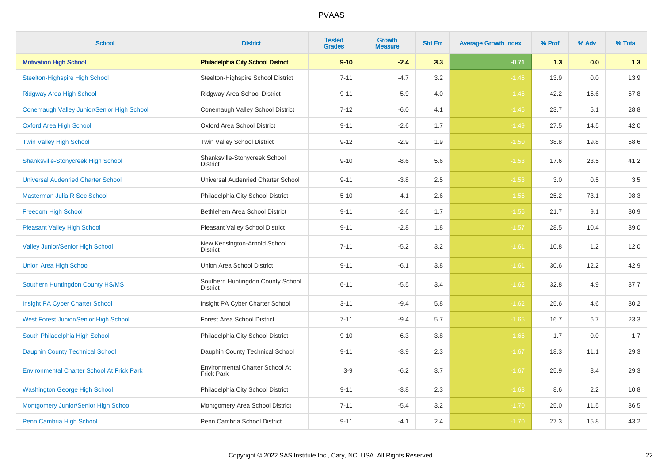| <b>School</b>                                     | <b>District</b>                                      | <b>Tested</b><br><b>Grades</b> | Growth<br><b>Measure</b> | <b>Std Err</b> | <b>Average Growth Index</b> | % Prof | % Adv | % Total |
|---------------------------------------------------|------------------------------------------------------|--------------------------------|--------------------------|----------------|-----------------------------|--------|-------|---------|
| <b>Motivation High School</b>                     | <b>Philadelphia City School District</b>             | $9 - 10$                       | $-2.4$                   | 3.3            | $-0.71$                     | 1.3    | 0.0   | 1.3     |
| <b>Steelton-Highspire High School</b>             | Steelton-Highspire School District                   | $7 - 11$                       | $-4.7$                   | 3.2            | $-1.45$                     | 13.9   | 0.0   | 13.9    |
| <b>Ridgway Area High School</b>                   | Ridgway Area School District                         | $9 - 11$                       | $-5.9$                   | 4.0            | $-1.46$                     | 42.2   | 15.6  | 57.8    |
| Conemaugh Valley Junior/Senior High School        | Conemaugh Valley School District                     | $7 - 12$                       | $-6.0$                   | 4.1            | $-1.46$                     | 23.7   | 5.1   | 28.8    |
| <b>Oxford Area High School</b>                    | Oxford Area School District                          | $9 - 11$                       | $-2.6$                   | 1.7            | $-1.49$                     | 27.5   | 14.5  | 42.0    |
| Twin Valley High School                           | Twin Valley School District                          | $9 - 12$                       | $-2.9$                   | 1.9            | $-1.50$                     | 38.8   | 19.8  | 58.6    |
| <b>Shanksville-Stonycreek High School</b>         | Shanksville-Stonycreek School<br><b>District</b>     | $9 - 10$                       | $-8.6$                   | 5.6            | $-1.53$                     | 17.6   | 23.5  | 41.2    |
| <b>Universal Audenried Charter School</b>         | Universal Audenried Charter School                   | $9 - 11$                       | $-3.8$                   | 2.5            | $-1.53$                     | 3.0    | 0.5   | $3.5\,$ |
| Masterman Julia R Sec School                      | Philadelphia City School District                    | $5 - 10$                       | $-4.1$                   | 2.6            | $-1.55$                     | 25.2   | 73.1  | 98.3    |
| Freedom High School                               | Bethlehem Area School District                       | $9 - 11$                       | $-2.6$                   | 1.7            | $-1.56$                     | 21.7   | 9.1   | 30.9    |
| <b>Pleasant Valley High School</b>                | Pleasant Valley School District                      | $9 - 11$                       | $-2.8$                   | 1.8            | $-1.57$                     | 28.5   | 10.4  | 39.0    |
| <b>Valley Junior/Senior High School</b>           | New Kensington-Arnold School<br><b>District</b>      | $7 - 11$                       | $-5.2$                   | 3.2            | $-1.61$                     | 10.8   | 1.2   | 12.0    |
| <b>Union Area High School</b>                     | Union Area School District                           | $9 - 11$                       | $-6.1$                   | 3.8            | $-1.61$                     | 30.6   | 12.2  | 42.9    |
| Southern Huntingdon County HS/MS                  | Southern Huntingdon County School<br><b>District</b> | $6 - 11$                       | $-5.5$                   | 3.4            | $-1.62$                     | 32.8   | 4.9   | 37.7    |
| Insight PA Cyber Charter School                   | Insight PA Cyber Charter School                      | $3 - 11$                       | $-9.4$                   | 5.8            | $-1.62$                     | 25.6   | 4.6   | 30.2    |
| West Forest Junior/Senior High School             | <b>Forest Area School District</b>                   | $7 - 11$                       | $-9.4$                   | 5.7            | $-1.65$                     | 16.7   | 6.7   | 23.3    |
| South Philadelphia High School                    | Philadelphia City School District                    | $9 - 10$                       | $-6.3$                   | 3.8            | $-1.66$                     | 1.7    | 0.0   | 1.7     |
| <b>Dauphin County Technical School</b>            | Dauphin County Technical School                      | $9 - 11$                       | $-3.9$                   | 2.3            | $-1.67$                     | 18.3   | 11.1  | 29.3    |
| <b>Environmental Charter School At Frick Park</b> | Environmental Charter School At<br><b>Frick Park</b> | $3-9$                          | $-6.2$                   | 3.7            | $-1.67$                     | 25.9   | 3.4   | 29.3    |
| <b>Washington George High School</b>              | Philadelphia City School District                    | $9 - 11$                       | $-3.8$                   | $2.3\,$        | $-1.68$                     | 8.6    | 2.2   | 10.8    |
| Montgomery Junior/Senior High School              | Montgomery Area School District                      | $7 - 11$                       | $-5.4$                   | $3.2\,$        | $-1.70$                     | 25.0   | 11.5  | 36.5    |
| Penn Cambria High School                          | Penn Cambria School District                         | $9 - 11$                       | $-4.1$                   | 2.4            | $-1.70$                     | 27.3   | 15.8  | 43.2    |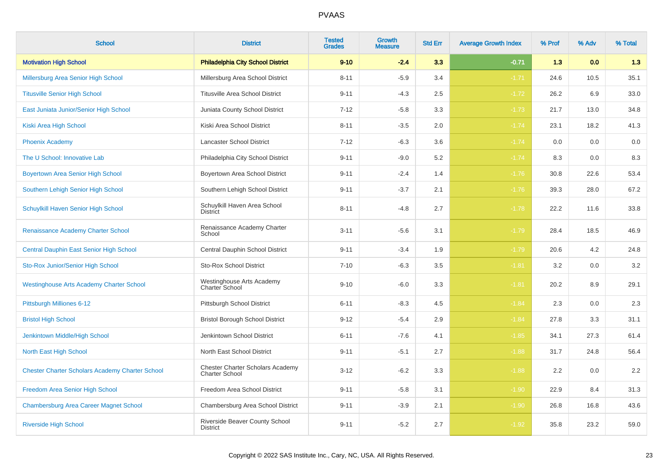| <b>School</b>                                          | <b>District</b>                                                  | <b>Tested</b><br><b>Grades</b> | <b>Growth</b><br><b>Measure</b> | <b>Std Err</b> | <b>Average Growth Index</b> | % Prof | % Adv | % Total |
|--------------------------------------------------------|------------------------------------------------------------------|--------------------------------|---------------------------------|----------------|-----------------------------|--------|-------|---------|
| <b>Motivation High School</b>                          | <b>Philadelphia City School District</b>                         | $9 - 10$                       | $-2.4$                          | 3.3            | $-0.71$                     | 1.3    | 0.0   | 1.3     |
| Millersburg Area Senior High School                    | Millersburg Area School District                                 | $8 - 11$                       | $-5.9$                          | 3.4            | $-1.71$                     | 24.6   | 10.5  | 35.1    |
| <b>Titusville Senior High School</b>                   | <b>Titusville Area School District</b>                           | $9 - 11$                       | $-4.3$                          | 2.5            | $-1.72$                     | 26.2   | 6.9   | 33.0    |
| East Juniata Junior/Senior High School                 | Juniata County School District                                   | $7 - 12$                       | $-5.8$                          | 3.3            | $-1.73$                     | 21.7   | 13.0  | 34.8    |
| Kiski Area High School                                 | Kiski Area School District                                       | $8 - 11$                       | $-3.5$                          | 2.0            | $-1.74$                     | 23.1   | 18.2  | 41.3    |
| <b>Phoenix Academy</b>                                 | Lancaster School District                                        | $7 - 12$                       | $-6.3$                          | 3.6            | $-1.74$                     | 0.0    | 0.0   | 0.0     |
| The U School: Innovative Lab                           | Philadelphia City School District                                | $9 - 11$                       | $-9.0$                          | 5.2            | $-1.74$                     | 8.3    | 0.0   | 8.3     |
| <b>Boyertown Area Senior High School</b>               | Boyertown Area School District                                   | $9 - 11$                       | $-2.4$                          | 1.4            | $-1.76$                     | 30.8   | 22.6  | 53.4    |
| Southern Lehigh Senior High School                     | Southern Lehigh School District                                  | $9 - 11$                       | $-3.7$                          | 2.1            | $-1.76$                     | 39.3   | 28.0  | 67.2    |
| Schuylkill Haven Senior High School                    | Schuylkill Haven Area School<br><b>District</b>                  | $8 - 11$                       | $-4.8$                          | 2.7            | $-1.78$                     | 22.2   | 11.6  | 33.8    |
| Renaissance Academy Charter School                     | Renaissance Academy Charter<br>School                            | $3 - 11$                       | $-5.6$                          | 3.1            | $-1.79$                     | 28.4   | 18.5  | 46.9    |
| Central Dauphin East Senior High School                | Central Dauphin School District                                  | $9 - 11$                       | $-3.4$                          | 1.9            | $-1.79$                     | 20.6   | 4.2   | 24.8    |
| Sto-Rox Junior/Senior High School                      | <b>Sto-Rox School District</b>                                   | $7 - 10$                       | $-6.3$                          | 3.5            | $-1.81$                     | 3.2    | 0.0   | 3.2     |
| <b>Westinghouse Arts Academy Charter School</b>        | Westinghouse Arts Academy<br>Charter School                      | $9 - 10$                       | $-6.0$                          | $3.3\,$        | $-1.81$                     | 20.2   | 8.9   | 29.1    |
| Pittsburgh Milliones 6-12                              | Pittsburgh School District                                       | $6 - 11$                       | $-8.3$                          | 4.5            | $-1.84$                     | 2.3    | 0.0   | 2.3     |
| <b>Bristol High School</b>                             | <b>Bristol Borough School District</b>                           | $9 - 12$                       | $-5.4$                          | 2.9            | $-1.84$                     | 27.8   | 3.3   | 31.1    |
| Jenkintown Middle/High School                          | Jenkintown School District                                       | $6 - 11$                       | $-7.6$                          | 4.1            | $-1.85$                     | 34.1   | 27.3  | 61.4    |
| North East High School                                 | North East School District                                       | $9 - 11$                       | $-5.1$                          | 2.7            | $-1.88$                     | 31.7   | 24.8  | 56.4    |
| <b>Chester Charter Scholars Academy Charter School</b> | <b>Chester Charter Scholars Academy</b><br><b>Charter School</b> | $3 - 12$                       | $-6.2$                          | 3.3            | $-1.88$                     | 2.2    | 0.0   | $2.2\,$ |
| Freedom Area Senior High School                        | Freedom Area School District                                     | $9 - 11$                       | $-5.8$                          | 3.1            | $-1.90$                     | 22.9   | 8.4   | 31.3    |
| <b>Chambersburg Area Career Magnet School</b>          | Chambersburg Area School District                                | $9 - 11$                       | $-3.9$                          | 2.1            | $-1.90$                     | 26.8   | 16.8  | 43.6    |
| <b>Riverside High School</b>                           | Riverside Beaver County School<br><b>District</b>                | $9 - 11$                       | $-5.2$                          | 2.7            | $-1.92$                     | 35.8   | 23.2  | 59.0    |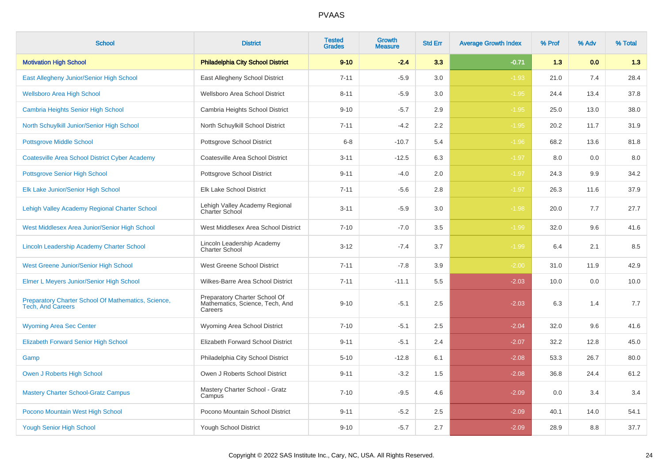| <b>School</b>                                                                   | <b>District</b>                                                             | <b>Tested</b><br><b>Grades</b> | <b>Growth</b><br><b>Measure</b> | <b>Std Err</b> | <b>Average Growth Index</b> | % Prof | % Adv | % Total |
|---------------------------------------------------------------------------------|-----------------------------------------------------------------------------|--------------------------------|---------------------------------|----------------|-----------------------------|--------|-------|---------|
| <b>Motivation High School</b>                                                   | <b>Philadelphia City School District</b>                                    | $9 - 10$                       | $-2.4$                          | 3.3            | $-0.71$                     | 1.3    | 0.0   | 1.3     |
| East Allegheny Junior/Senior High School                                        | East Allegheny School District                                              | $7 - 11$                       | $-5.9$                          | 3.0            | $-1.93$                     | 21.0   | 7.4   | 28.4    |
| <b>Wellsboro Area High School</b>                                               | Wellsboro Area School District                                              | $8 - 11$                       | $-5.9$                          | 3.0            | $-1.95$                     | 24.4   | 13.4  | 37.8    |
| <b>Cambria Heights Senior High School</b>                                       | Cambria Heights School District                                             | $9 - 10$                       | $-5.7$                          | 2.9            | $-1.95$                     | 25.0   | 13.0  | 38.0    |
| North Schuylkill Junior/Senior High School                                      | North Schuylkill School District                                            | $7 - 11$                       | $-4.2$                          | 2.2            | $-1.95$                     | 20.2   | 11.7  | 31.9    |
| <b>Pottsgrove Middle School</b>                                                 | Pottsgrove School District                                                  | $6 - 8$                        | $-10.7$                         | 5.4            | $-1.96$                     | 68.2   | 13.6  | 81.8    |
| <b>Coatesville Area School District Cyber Academy</b>                           | Coatesville Area School District                                            | $3 - 11$                       | $-12.5$                         | 6.3            | $-1.97$                     | 8.0    | 0.0   | 8.0     |
| <b>Pottsgrove Senior High School</b>                                            | Pottsgrove School District                                                  | $9 - 11$                       | $-4.0$                          | 2.0            | $-1.97$                     | 24.3   | 9.9   | 34.2    |
| Elk Lake Junior/Senior High School                                              | Elk Lake School District                                                    | $7 - 11$                       | $-5.6$                          | 2.8            | $-1.97$                     | 26.3   | 11.6  | 37.9    |
| Lehigh Valley Academy Regional Charter School                                   | Lehigh Valley Academy Regional<br>Charter School                            | $3 - 11$                       | $-5.9$                          | 3.0            | $-1.98$                     | 20.0   | 7.7   | 27.7    |
| West Middlesex Area Junior/Senior High School                                   | West Middlesex Area School District                                         | $7 - 10$                       | $-7.0$                          | 3.5            | $-1.99$                     | 32.0   | 9.6   | 41.6    |
| Lincoln Leadership Academy Charter School                                       | Lincoln Leadership Academy<br><b>Charter School</b>                         | $3 - 12$                       | $-7.4$                          | 3.7            | $-1.99$                     | 6.4    | 2.1   | 8.5     |
| <b>West Greene Junior/Senior High School</b>                                    | West Greene School District                                                 | $7 - 11$                       | $-7.8$                          | 3.9            | $-2.00$                     | 31.0   | 11.9  | 42.9    |
| Elmer L Meyers Junior/Senior High School                                        | Wilkes-Barre Area School District                                           | $7 - 11$                       | $-11.1$                         | 5.5            | $-2.03$                     | 10.0   | 0.0   | 10.0    |
| Preparatory Charter School Of Mathematics, Science,<br><b>Tech, And Careers</b> | Preparatory Charter School Of<br>Mathematics, Science, Tech, And<br>Careers | $9 - 10$                       | $-5.1$                          | 2.5            | $-2.03$                     | 6.3    | 1.4   | 7.7     |
| <b>Wyoming Area Sec Center</b>                                                  | Wyoming Area School District                                                | $7 - 10$                       | $-5.1$                          | 2.5            | $-2.04$                     | 32.0   | 9.6   | 41.6    |
| <b>Elizabeth Forward Senior High School</b>                                     | Elizabeth Forward School District                                           | $9 - 11$                       | $-5.1$                          | 2.4            | $-2.07$                     | 32.2   | 12.8  | 45.0    |
| Gamp                                                                            | Philadelphia City School District                                           | $5 - 10$                       | $-12.8$                         | 6.1            | $-2.08$                     | 53.3   | 26.7  | 80.0    |
| Owen J Roberts High School                                                      | Owen J Roberts School District                                              | $9 - 11$                       | $-3.2$                          | 1.5            | $-2.08$                     | 36.8   | 24.4  | 61.2    |
| <b>Mastery Charter School-Gratz Campus</b>                                      | Mastery Charter School - Gratz<br>Campus                                    | $7 - 10$                       | $-9.5$                          | 4.6            | $-2.09$                     | 0.0    | 3.4   | 3.4     |
| Pocono Mountain West High School                                                | Pocono Mountain School District                                             | $9 - 11$                       | $-5.2$                          | 2.5            | $-2.09$                     | 40.1   | 14.0  | 54.1    |
| <b>Yough Senior High School</b>                                                 | Yough School District                                                       | $9 - 10$                       | $-5.7$                          | 2.7            | $-2.09$                     | 28.9   | 8.8   | 37.7    |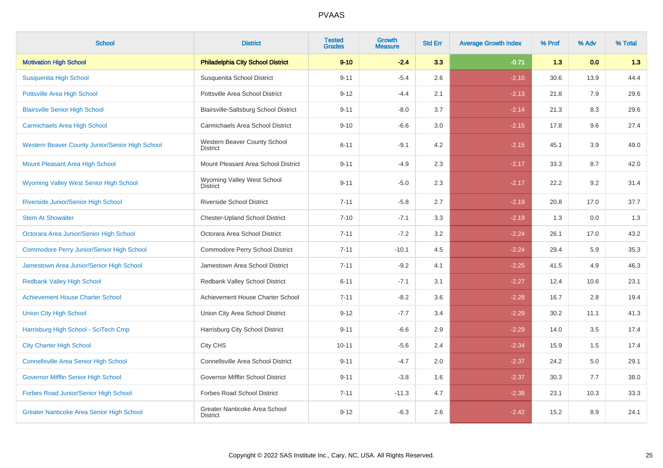| <b>School</b>                                    | <b>District</b>                                  | <b>Tested</b><br><b>Grades</b> | <b>Growth</b><br><b>Measure</b> | <b>Std Err</b> | <b>Average Growth Index</b> | % Prof | % Adv | % Total |
|--------------------------------------------------|--------------------------------------------------|--------------------------------|---------------------------------|----------------|-----------------------------|--------|-------|---------|
| <b>Motivation High School</b>                    | <b>Philadelphia City School District</b>         | $9 - 10$                       | $-2.4$                          | 3.3            | $-0.71$                     | 1.3    | 0.0   | 1.3     |
| Susquenita High School                           | Susquenita School District                       | $9 - 11$                       | $-5.4$                          | 2.6            | $-2.10$                     | 30.6   | 13.9  | 44.4    |
| <b>Pottsville Area High School</b>               | Pottsville Area School District                  | $9 - 12$                       | $-4.4$                          | 2.1            | $-2.13$                     | 21.8   | 7.9   | 29.6    |
| <b>Blairsville Senior High School</b>            | Blairsville-Saltsburg School District            | $9 - 11$                       | $-8.0$                          | 3.7            | $-2.14$                     | 21.3   | 8.3   | 29.6    |
| <b>Carmichaels Area High School</b>              | Carmichaels Area School District                 | $9 - 10$                       | $-6.6$                          | 3.0            | $-2.15$                     | 17.8   | 9.6   | 27.4    |
| Western Beaver County Junior/Senior High School  | Western Beaver County School<br><b>District</b>  | $6 - 11$                       | $-9.1$                          | 4.2            | $-2.15$                     | 45.1   | 3.9   | 49.0    |
| Mount Pleasant Area High School                  | Mount Pleasant Area School District              | $9 - 11$                       | $-4.9$                          | 2.3            | $-2.17$                     | 33.3   | 8.7   | 42.0    |
| Wyoming Valley West Senior High School           | Wyoming Valley West School<br><b>District</b>    | $9 - 11$                       | $-5.0$                          | 2.3            | $-2.17$                     | 22.2   | 9.2   | 31.4    |
| Riverside Junior/Senior High School              | <b>Riverside School District</b>                 | $7 - 11$                       | $-5.8$                          | 2.7            | $-2.19$                     | 20.8   | 17.0  | 37.7    |
| <b>Stem At Showalter</b>                         | <b>Chester-Upland School District</b>            | $7 - 10$                       | $-7.1$                          | 3.3            | $-2.19$                     | 1.3    | 0.0   | 1.3     |
| Octorara Area Junior/Senior High School          | Octorara Area School District                    | $7 - 11$                       | $-7.2$                          | 3.2            | $-2.24$                     | 26.1   | 17.0  | 43.2    |
| <b>Commodore Perry Junior/Senior High School</b> | Commodore Perry School District                  | $7 - 11$                       | $-10.1$                         | 4.5            | $-2.24$                     | 29.4   | 5.9   | 35.3    |
| Jamestown Area Junior/Senior High School         | Jamestown Area School District                   | $7 - 11$                       | $-9.2$                          | 4.1            | $-2.25$                     | 41.5   | 4.9   | 46.3    |
| <b>Redbank Valley High School</b>                | Redbank Valley School District                   | $6 - 11$                       | $-7.1$                          | 3.1            | $-2.27$                     | 12.4   | 10.6  | 23.1    |
| <b>Achievement House Charter School</b>          | Achievement House Charter School                 | $7 - 11$                       | $-8.2$                          | 3.6            | $-2.28$                     | 16.7   | 2.8   | 19.4    |
| <b>Union City High School</b>                    | Union City Area School District                  | $9 - 12$                       | $-7.7$                          | 3.4            | $-2.29$                     | 30.2   | 11.1  | 41.3    |
| Harrisburg High School - SciTech Cmp             | Harrisburg City School District                  | $9 - 11$                       | $-6.6$                          | 2.9            | $-2.29$                     | 14.0   | 3.5   | 17.4    |
| <b>City Charter High School</b>                  | City CHS                                         | $10 - 11$                      | $-5.6$                          | 2.4            | $-2.34$                     | 15.9   | 1.5   | 17.4    |
| <b>Connellsville Area Senior High School</b>     | Connellsville Area School District               | $9 - 11$                       | $-4.7$                          | 2.0            | $-2.37$                     | 24.2   | 5.0   | 29.1    |
| Governor Mifflin Senior High School              | Governor Mifflin School District                 | $9 - 11$                       | $-3.8$                          | 1.6            | $-2.37$                     | 30.3   | 7.7   | 38.0    |
| Forbes Road Junior/Senior High School            | <b>Forbes Road School District</b>               | $7 - 11$                       | $-11.3$                         | 4.7            | $-2.38$                     | 23.1   | 10.3  | 33.3    |
| <b>Greater Nanticoke Area Senior High School</b> | Greater Nanticoke Area School<br><b>District</b> | $9 - 12$                       | $-6.3$                          | 2.6            | $-2.42$                     | 15.2   | 8.9   | 24.1    |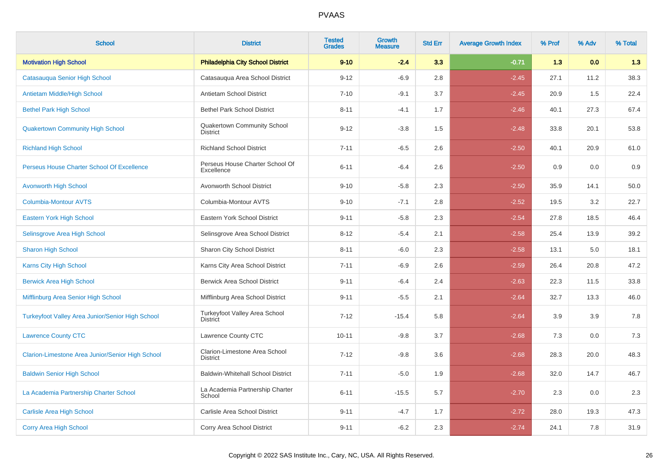| <b>School</b>                                    | <b>District</b>                                  | <b>Tested</b><br><b>Grades</b> | <b>Growth</b><br><b>Measure</b> | <b>Std Err</b> | <b>Average Growth Index</b> | % Prof | % Adv | % Total |
|--------------------------------------------------|--------------------------------------------------|--------------------------------|---------------------------------|----------------|-----------------------------|--------|-------|---------|
| <b>Motivation High School</b>                    | <b>Philadelphia City School District</b>         | $9 - 10$                       | $-2.4$                          | 3.3            | $-0.71$                     | 1.3    | 0.0   | 1.3     |
| Catasauqua Senior High School                    | Catasauqua Area School District                  | $9 - 12$                       | $-6.9$                          | 2.8            | $-2.45$                     | 27.1   | 11.2  | 38.3    |
| Antietam Middle/High School                      | Antietam School District                         | $7 - 10$                       | $-9.1$                          | 3.7            | $-2.45$                     | 20.9   | 1.5   | 22.4    |
| <b>Bethel Park High School</b>                   | <b>Bethel Park School District</b>               | $8 - 11$                       | $-4.1$                          | 1.7            | $-2.46$                     | 40.1   | 27.3  | 67.4    |
| <b>Quakertown Community High School</b>          | Quakertown Community School<br><b>District</b>   | $9 - 12$                       | $-3.8$                          | 1.5            | $-2.48$                     | 33.8   | 20.1  | 53.8    |
| <b>Richland High School</b>                      | <b>Richland School District</b>                  | $7 - 11$                       | $-6.5$                          | 2.6            | $-2.50$                     | 40.1   | 20.9  | 61.0    |
| Perseus House Charter School Of Excellence       | Perseus House Charter School Of<br>Excellence    | $6 - 11$                       | $-6.4$                          | 2.6            | $-2.50$                     | 0.9    | 0.0   | 0.9     |
| <b>Avonworth High School</b>                     | Avonworth School District                        | $9 - 10$                       | $-5.8$                          | 2.3            | $-2.50$                     | 35.9   | 14.1  | 50.0    |
| <b>Columbia-Montour AVTS</b>                     | Columbia-Montour AVTS                            | $9 - 10$                       | $-7.1$                          | 2.8            | $-2.52$                     | 19.5   | 3.2   | 22.7    |
| Eastern York High School                         | Eastern York School District                     | $9 - 11$                       | $-5.8$                          | 2.3            | $-2.54$                     | 27.8   | 18.5  | 46.4    |
| Selinsgrove Area High School                     | Selinsgrove Area School District                 | $8 - 12$                       | $-5.4$                          | 2.1            | $-2.58$                     | 25.4   | 13.9  | 39.2    |
| <b>Sharon High School</b>                        | Sharon City School District                      | $8 - 11$                       | $-6.0$                          | 2.3            | $-2.58$                     | 13.1   | 5.0   | 18.1    |
| Karns City High School                           | Karns City Area School District                  | $7 - 11$                       | $-6.9$                          | 2.6            | $-2.59$                     | 26.4   | 20.8  | 47.2    |
| <b>Berwick Area High School</b>                  | <b>Berwick Area School District</b>              | $9 - 11$                       | $-6.4$                          | 2.4            | $-2.63$                     | 22.3   | 11.5  | 33.8    |
| Mifflinburg Area Senior High School              | Mifflinburg Area School District                 | $9 - 11$                       | $-5.5$                          | 2.1            | $-2.64$                     | 32.7   | 13.3  | 46.0    |
| Turkeyfoot Valley Area Junior/Senior High School | Turkeyfoot Valley Area School<br><b>District</b> | $7 - 12$                       | $-15.4$                         | 5.8            | $-2.64$                     | 3.9    | 3.9   | 7.8     |
| <b>Lawrence County CTC</b>                       | Lawrence County CTC                              | $10 - 11$                      | $-9.8$                          | 3.7            | $-2.68$                     | 7.3    | 0.0   | 7.3     |
| Clarion-Limestone Area Junior/Senior High School | Clarion-Limestone Area School<br><b>District</b> | $7 - 12$                       | $-9.8$                          | 3.6            | $-2.68$                     | 28.3   | 20.0  | 48.3    |
| <b>Baldwin Senior High School</b>                | <b>Baldwin-Whitehall School District</b>         | $7 - 11$                       | $-5.0$                          | 1.9            | $-2.68$                     | 32.0   | 14.7  | 46.7    |
| La Academia Partnership Charter School           | La Academia Partnership Charter<br>School        | $6 - 11$                       | $-15.5$                         | 5.7            | $-2.70$                     | 2.3    | 0.0   | 2.3     |
| <b>Carlisle Area High School</b>                 | Carlisle Area School District                    | $9 - 11$                       | $-4.7$                          | 1.7            | $-2.72$                     | 28.0   | 19.3  | 47.3    |
| <b>Corry Area High School</b>                    | Corry Area School District                       | $9 - 11$                       | $-6.2$                          | 2.3            | $-2.74$                     | 24.1   | 7.8   | 31.9    |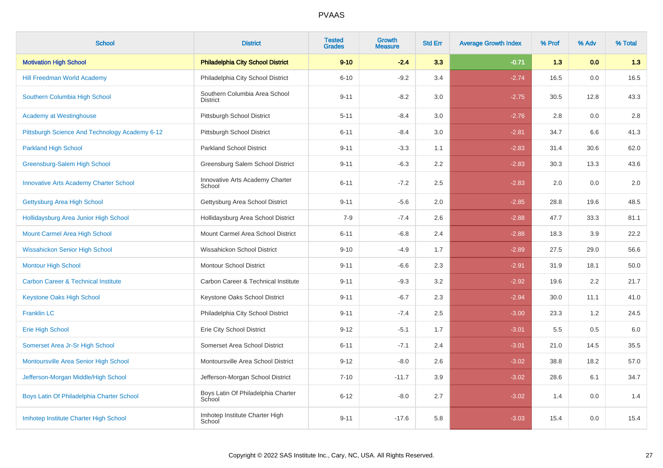| <b>School</b>                                  | <b>District</b>                                  | <b>Tested</b><br><b>Grades</b> | Growth<br><b>Measure</b> | <b>Std Err</b> | <b>Average Growth Index</b> | % Prof | % Adv | % Total |
|------------------------------------------------|--------------------------------------------------|--------------------------------|--------------------------|----------------|-----------------------------|--------|-------|---------|
| <b>Motivation High School</b>                  | <b>Philadelphia City School District</b>         | $9 - 10$                       | $-2.4$                   | 3.3            | $-0.71$                     | 1.3    | 0.0   | 1.3     |
| <b>Hill Freedman World Academy</b>             | Philadelphia City School District                | $6 - 10$                       | $-9.2$                   | 3.4            | $-2.74$                     | 16.5   | 0.0   | 16.5    |
| Southern Columbia High School                  | Southern Columbia Area School<br><b>District</b> | $9 - 11$                       | $-8.2$                   | 3.0            | $-2.75$                     | 30.5   | 12.8  | 43.3    |
| <b>Academy at Westinghouse</b>                 | Pittsburgh School District                       | $5 - 11$                       | $-8.4$                   | 3.0            | $-2.76$                     | 2.8    | 0.0   | 2.8     |
| Pittsburgh Science And Technology Academy 6-12 | Pittsburgh School District                       | $6 - 11$                       | $-8.4$                   | 3.0            | $-2.81$                     | 34.7   | 6.6   | 41.3    |
| <b>Parkland High School</b>                    | <b>Parkland School District</b>                  | $9 - 11$                       | $-3.3$                   | 1.1            | $-2.83$                     | 31.4   | 30.6  | 62.0    |
| Greensburg-Salem High School                   | Greensburg Salem School District                 | $9 - 11$                       | $-6.3$                   | 2.2            | $-2.83$                     | 30.3   | 13.3  | 43.6    |
| <b>Innovative Arts Academy Charter School</b>  | Innovative Arts Academy Charter<br>School        | $6 - 11$                       | $-7.2$                   | 2.5            | $-2.83$                     | 2.0    | 0.0   | $2.0\,$ |
| Gettysburg Area High School                    | Gettysburg Area School District                  | $9 - 11$                       | $-5.6$                   | 2.0            | $-2.85$                     | 28.8   | 19.6  | 48.5    |
| Hollidaysburg Area Junior High School          | Hollidaysburg Area School District               | $7 - 9$                        | $-7.4$                   | 2.6            | $-2.88$                     | 47.7   | 33.3  | 81.1    |
| Mount Carmel Area High School                  | Mount Carmel Area School District                | $6 - 11$                       | $-6.8$                   | 2.4            | $-2.88$                     | 18.3   | 3.9   | 22.2    |
| <b>Wissahickon Senior High School</b>          | Wissahickon School District                      | $9 - 10$                       | $-4.9$                   | 1.7            | $-2.89$                     | 27.5   | 29.0  | 56.6    |
| <b>Montour High School</b>                     | <b>Montour School District</b>                   | $9 - 11$                       | $-6.6$                   | 2.3            | $-2.91$                     | 31.9   | 18.1  | 50.0    |
| <b>Carbon Career &amp; Technical Institute</b> | Carbon Career & Technical Institute              | $9 - 11$                       | $-9.3$                   | 3.2            | $-2.92$                     | 19.6   | 2.2   | 21.7    |
| <b>Keystone Oaks High School</b>               | Keystone Oaks School District                    | $9 - 11$                       | $-6.7$                   | 2.3            | $-2.94$                     | 30.0   | 11.1  | 41.0    |
| <b>Franklin LC</b>                             | Philadelphia City School District                | $9 - 11$                       | $-7.4$                   | 2.5            | $-3.00$                     | 23.3   | 1.2   | 24.5    |
| <b>Erie High School</b>                        | Erie City School District                        | $9 - 12$                       | $-5.1$                   | 1.7            | $-3.01$                     | 5.5    | 0.5   | $6.0\,$ |
| Somerset Area Jr-Sr High School                | Somerset Area School District                    | $6 - 11$                       | $-7.1$                   | 2.4            | $-3.01$                     | 21.0   | 14.5  | 35.5    |
| Montoursville Area Senior High School          | Montoursville Area School District               | $9 - 12$                       | $-8.0$                   | 2.6            | $-3.02$                     | 38.8   | 18.2  | 57.0    |
| Jefferson-Morgan Middle/High School            | Jefferson-Morgan School District                 | $7 - 10$                       | $-11.7$                  | 3.9            | $-3.02$                     | 28.6   | 6.1   | 34.7    |
| Boys Latin Of Philadelphia Charter School      | Boys Latin Of Philadelphia Charter<br>School     | $6 - 12$                       | $-8.0$                   | 2.7            | $-3.02$                     | 1.4    | 0.0   | 1.4     |
| Imhotep Institute Charter High School          | Imhotep Institute Charter High<br>School         | $9 - 11$                       | $-17.6$                  | 5.8            | $-3.03$                     | 15.4   | 0.0   | 15.4    |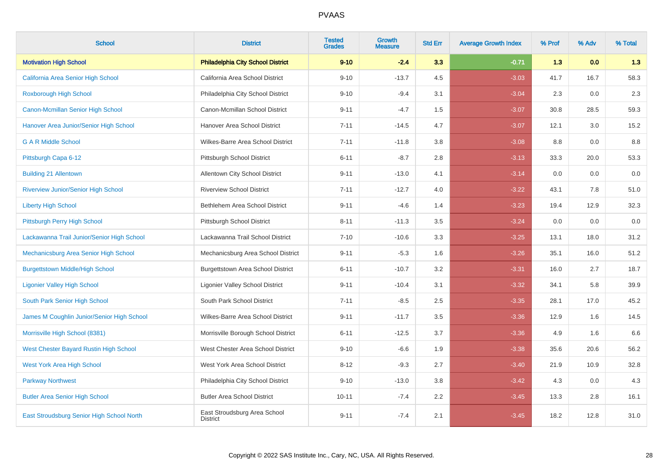| <b>School</b>                                 | <b>District</b>                                 | <b>Tested</b><br><b>Grades</b> | <b>Growth</b><br><b>Measure</b> | <b>Std Err</b> | <b>Average Growth Index</b> | % Prof | % Adv | % Total |
|-----------------------------------------------|-------------------------------------------------|--------------------------------|---------------------------------|----------------|-----------------------------|--------|-------|---------|
| <b>Motivation High School</b>                 | <b>Philadelphia City School District</b>        | $9 - 10$                       | $-2.4$                          | 3.3            | $-0.71$                     | 1.3    | 0.0   | 1.3     |
| California Area Senior High School            | California Area School District                 | $9 - 10$                       | $-13.7$                         | 4.5            | $-3.03$                     | 41.7   | 16.7  | 58.3    |
| Roxborough High School                        | Philadelphia City School District               | $9 - 10$                       | $-9.4$                          | 3.1            | $-3.04$                     | 2.3    | 0.0   | 2.3     |
| Canon-Mcmillan Senior High School             | Canon-Mcmillan School District                  | $9 - 11$                       | $-4.7$                          | 1.5            | $-3.07$                     | 30.8   | 28.5  | 59.3    |
| Hanover Area Junior/Senior High School        | Hanover Area School District                    | $7 - 11$                       | $-14.5$                         | 4.7            | $-3.07$                     | 12.1   | 3.0   | 15.2    |
| <b>G A R Middle School</b>                    | Wilkes-Barre Area School District               | $7 - 11$                       | $-11.8$                         | 3.8            | $-3.08$                     | 8.8    | 0.0   | 8.8     |
| Pittsburgh Capa 6-12                          | Pittsburgh School District                      | $6 - 11$                       | $-8.7$                          | 2.8            | $-3.13$                     | 33.3   | 20.0  | 53.3    |
| <b>Building 21 Allentown</b>                  | Allentown City School District                  | $9 - 11$                       | $-13.0$                         | 4.1            | $-3.14$                     | 0.0    | 0.0   | 0.0     |
| <b>Riverview Junior/Senior High School</b>    | <b>Riverview School District</b>                | $7 - 11$                       | $-12.7$                         | 4.0            | $-3.22$                     | 43.1   | 7.8   | 51.0    |
| <b>Liberty High School</b>                    | Bethlehem Area School District                  | $9 - 11$                       | $-4.6$                          | 1.4            | $-3.23$                     | 19.4   | 12.9  | 32.3    |
| Pittsburgh Perry High School                  | Pittsburgh School District                      | $8 - 11$                       | $-11.3$                         | 3.5            | $-3.24$                     | 0.0    | 0.0   | 0.0     |
| Lackawanna Trail Junior/Senior High School    | Lackawanna Trail School District                | $7 - 10$                       | $-10.6$                         | 3.3            | $-3.25$                     | 13.1   | 18.0  | 31.2    |
| Mechanicsburg Area Senior High School         | Mechanicsburg Area School District              | $9 - 11$                       | $-5.3$                          | 1.6            | $-3.26$                     | 35.1   | 16.0  | 51.2    |
| <b>Burgettstown Middle/High School</b>        | <b>Burgettstown Area School District</b>        | $6 - 11$                       | $-10.7$                         | 3.2            | $-3.31$                     | 16.0   | 2.7   | 18.7    |
| <b>Ligonier Valley High School</b>            | <b>Ligonier Valley School District</b>          | $9 - 11$                       | $-10.4$                         | 3.1            | $-3.32$                     | 34.1   | 5.8   | 39.9    |
| South Park Senior High School                 | South Park School District                      | $7 - 11$                       | $-8.5$                          | 2.5            | $-3.35$                     | 28.1   | 17.0  | 45.2    |
| James M Coughlin Junior/Senior High School    | Wilkes-Barre Area School District               | $9 - 11$                       | $-11.7$                         | 3.5            | $-3.36$                     | 12.9   | 1.6   | 14.5    |
| Morrisville High School (8381)                | Morrisville Borough School District             | $6 - 11$                       | $-12.5$                         | 3.7            | $-3.36$                     | 4.9    | 1.6   | 6.6     |
| <b>West Chester Bayard Rustin High School</b> | West Chester Area School District               | $9 - 10$                       | $-6.6$                          | 1.9            | $-3.38$                     | 35.6   | 20.6  | 56.2    |
| <b>West York Area High School</b>             | West York Area School District                  | $8 - 12$                       | $-9.3$                          | 2.7            | $-3.40$                     | 21.9   | 10.9  | 32.8    |
| <b>Parkway Northwest</b>                      | Philadelphia City School District               | $9 - 10$                       | $-13.0$                         | 3.8            | $-3.42$                     | 4.3    | 0.0   | 4.3     |
| <b>Butler Area Senior High School</b>         | <b>Butler Area School District</b>              | $10 - 11$                      | $-7.4$                          | 2.2            | $-3.45$                     | 13.3   | 2.8   | 16.1    |
| East Stroudsburg Senior High School North     | East Stroudsburg Area School<br><b>District</b> | $9 - 11$                       | $-7.4$                          | 2.1            | $-3.45$                     | 18.2   | 12.8  | 31.0    |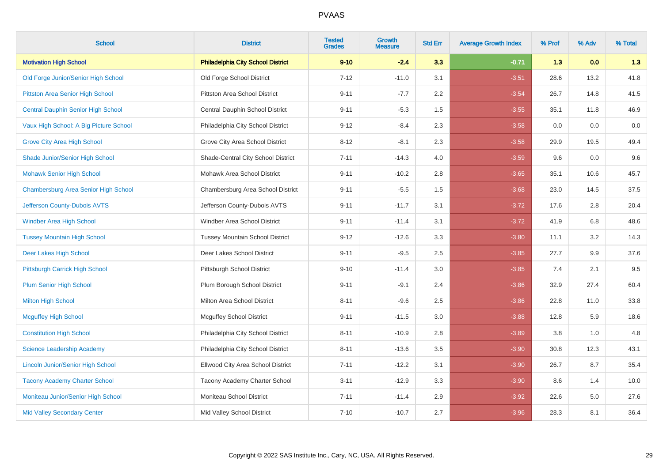| <b>School</b>                             | <b>District</b>                          | <b>Tested</b><br><b>Grades</b> | <b>Growth</b><br><b>Measure</b> | <b>Std Err</b> | <b>Average Growth Index</b> | % Prof | % Adv | % Total |
|-------------------------------------------|------------------------------------------|--------------------------------|---------------------------------|----------------|-----------------------------|--------|-------|---------|
| <b>Motivation High School</b>             | <b>Philadelphia City School District</b> | $9 - 10$                       | $-2.4$                          | 3.3            | $-0.71$                     | 1.3    | 0.0   | 1.3     |
| Old Forge Junior/Senior High School       | Old Forge School District                | $7 - 12$                       | $-11.0$                         | 3.1            | $-3.51$                     | 28.6   | 13.2  | 41.8    |
| Pittston Area Senior High School          | <b>Pittston Area School District</b>     | $9 - 11$                       | $-7.7$                          | 2.2            | $-3.54$                     | 26.7   | 14.8  | 41.5    |
| <b>Central Dauphin Senior High School</b> | Central Dauphin School District          | $9 - 11$                       | $-5.3$                          | 1.5            | $-3.55$                     | 35.1   | 11.8  | 46.9    |
| Vaux High School: A Big Picture School    | Philadelphia City School District        | $9 - 12$                       | $-8.4$                          | 2.3            | $-3.58$                     | 0.0    | 0.0   | $0.0\,$ |
| <b>Grove City Area High School</b>        | Grove City Area School District          | $8 - 12$                       | $-8.1$                          | 2.3            | $-3.58$                     | 29.9   | 19.5  | 49.4    |
| Shade Junior/Senior High School           | Shade-Central City School District       | $7 - 11$                       | $-14.3$                         | 4.0            | $-3.59$                     | 9.6    | 0.0   | 9.6     |
| <b>Mohawk Senior High School</b>          | Mohawk Area School District              | $9 - 11$                       | $-10.2$                         | 2.8            | $-3.65$                     | 35.1   | 10.6  | 45.7    |
| Chambersburg Area Senior High School      | Chambersburg Area School District        | $9 - 11$                       | $-5.5$                          | 1.5            | $-3.68$                     | 23.0   | 14.5  | 37.5    |
| Jefferson County-Dubois AVTS              | Jefferson County-Dubois AVTS             | $9 - 11$                       | $-11.7$                         | 3.1            | $-3.72$                     | 17.6   | 2.8   | 20.4    |
| Windber Area High School                  | Windber Area School District             | $9 - 11$                       | $-11.4$                         | 3.1            | $-3.72$                     | 41.9   | 6.8   | 48.6    |
| <b>Tussey Mountain High School</b>        | <b>Tussey Mountain School District</b>   | $9 - 12$                       | $-12.6$                         | 3.3            | $-3.80$                     | 11.1   | 3.2   | 14.3    |
| Deer Lakes High School                    | Deer Lakes School District               | $9 - 11$                       | $-9.5$                          | 2.5            | $-3.85$                     | 27.7   | 9.9   | 37.6    |
| Pittsburgh Carrick High School            | Pittsburgh School District               | $9 - 10$                       | $-11.4$                         | 3.0            | $-3.85$                     | 7.4    | 2.1   | 9.5     |
| <b>Plum Senior High School</b>            | Plum Borough School District             | $9 - 11$                       | $-9.1$                          | 2.4            | $-3.86$                     | 32.9   | 27.4  | 60.4    |
| <b>Milton High School</b>                 | Milton Area School District              | $8 - 11$                       | $-9.6$                          | 2.5            | $-3.86$                     | 22.8   | 11.0  | 33.8    |
| <b>Mcguffey High School</b>               | <b>Mcguffey School District</b>          | $9 - 11$                       | $-11.5$                         | 3.0            | $-3.88$                     | 12.8   | 5.9   | 18.6    |
| <b>Constitution High School</b>           | Philadelphia City School District        | $8 - 11$                       | $-10.9$                         | 2.8            | $-3.89$                     | 3.8    | 1.0   | 4.8     |
| <b>Science Leadership Academy</b>         | Philadelphia City School District        | $8 - 11$                       | $-13.6$                         | 3.5            | $-3.90$                     | 30.8   | 12.3  | 43.1    |
| <b>Lincoln Junior/Senior High School</b>  | Ellwood City Area School District        | $7 - 11$                       | $-12.2$                         | 3.1            | $-3.90$                     | 26.7   | 8.7   | 35.4    |
| <b>Tacony Academy Charter School</b>      | Tacony Academy Charter School            | $3 - 11$                       | $-12.9$                         | 3.3            | $-3.90$                     | 8.6    | 1.4   | 10.0    |
| Moniteau Junior/Senior High School        | Moniteau School District                 | $7 - 11$                       | $-11.4$                         | 2.9            | $-3.92$                     | 22.6   | 5.0   | 27.6    |
| <b>Mid Valley Secondary Center</b>        | Mid Valley School District               | $7 - 10$                       | $-10.7$                         | 2.7            | $-3.96$                     | 28.3   | 8.1   | 36.4    |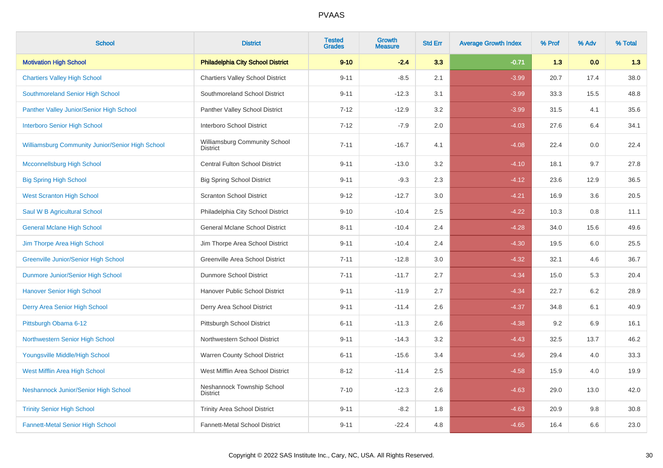| <b>School</b>                                    | <b>District</b>                                  | <b>Tested</b><br><b>Grades</b> | Growth<br><b>Measure</b> | <b>Std Err</b> | <b>Average Growth Index</b> | % Prof | % Adv | % Total |
|--------------------------------------------------|--------------------------------------------------|--------------------------------|--------------------------|----------------|-----------------------------|--------|-------|---------|
| <b>Motivation High School</b>                    | <b>Philadelphia City School District</b>         | $9 - 10$                       | $-2.4$                   | 3.3            | $-0.71$                     | 1.3    | 0.0   | 1.3     |
| <b>Chartiers Valley High School</b>              | <b>Chartiers Valley School District</b>          | $9 - 11$                       | $-8.5$                   | 2.1            | $-3.99$                     | 20.7   | 17.4  | 38.0    |
| Southmoreland Senior High School                 | Southmoreland School District                    | $9 - 11$                       | $-12.3$                  | 3.1            | $-3.99$                     | 33.3   | 15.5  | 48.8    |
| Panther Valley Junior/Senior High School         | Panther Valley School District                   | $7 - 12$                       | $-12.9$                  | 3.2            | $-3.99$                     | 31.5   | 4.1   | 35.6    |
| <b>Interboro Senior High School</b>              | Interboro School District                        | $7 - 12$                       | $-7.9$                   | 2.0            | $-4.03$                     | 27.6   | 6.4   | 34.1    |
| Williamsburg Community Junior/Senior High School | Williamsburg Community School<br><b>District</b> | $7 - 11$                       | $-16.7$                  | 4.1            | $-4.08$                     | 22.4   | 0.0   | 22.4    |
| <b>Mcconnellsburg High School</b>                | <b>Central Fulton School District</b>            | $9 - 11$                       | $-13.0$                  | 3.2            | $-4.10$                     | 18.1   | 9.7   | 27.8    |
| <b>Big Spring High School</b>                    | <b>Big Spring School District</b>                | $9 - 11$                       | $-9.3$                   | 2.3            | $-4.12$                     | 23.6   | 12.9  | 36.5    |
| <b>West Scranton High School</b>                 | <b>Scranton School District</b>                  | $9 - 12$                       | $-12.7$                  | 3.0            | $-4.21$                     | 16.9   | 3.6   | 20.5    |
| Saul W B Agricultural School                     | Philadelphia City School District                | $9 - 10$                       | $-10.4$                  | 2.5            | $-4.22$                     | 10.3   | 0.8   | 11.1    |
| <b>General Mclane High School</b>                | General Mclane School District                   | $8 - 11$                       | $-10.4$                  | 2.4            | $-4.28$                     | 34.0   | 15.6  | 49.6    |
| Jim Thorpe Area High School                      | Jim Thorpe Area School District                  | $9 - 11$                       | $-10.4$                  | 2.4            | $-4.30$                     | 19.5   | 6.0   | 25.5    |
| <b>Greenville Junior/Senior High School</b>      | Greenville Area School District                  | $7 - 11$                       | $-12.8$                  | 3.0            | $-4.32$                     | 32.1   | 4.6   | 36.7    |
| Dunmore Junior/Senior High School                | Dunmore School District                          | $7 - 11$                       | $-11.7$                  | 2.7            | $-4.34$                     | 15.0   | 5.3   | 20.4    |
| <b>Hanover Senior High School</b>                | Hanover Public School District                   | $9 - 11$                       | $-11.9$                  | 2.7            | $-4.34$                     | 22.7   | 6.2   | 28.9    |
| Derry Area Senior High School                    | Derry Area School District                       | $9 - 11$                       | $-11.4$                  | 2.6            | $-4.37$                     | 34.8   | 6.1   | 40.9    |
| Pittsburgh Obama 6-12                            | Pittsburgh School District                       | $6 - 11$                       | $-11.3$                  | 2.6            | $-4.38$                     | 9.2    | 6.9   | 16.1    |
| Northwestern Senior High School                  | Northwestern School District                     | $9 - 11$                       | $-14.3$                  | 3.2            | $-4.43$                     | 32.5   | 13.7  | 46.2    |
| Youngsville Middle/High School                   | Warren County School District                    | $6 - 11$                       | $-15.6$                  | 3.4            | $-4.56$                     | 29.4   | 4.0   | 33.3    |
| West Mifflin Area High School                    | West Mifflin Area School District                | $8 - 12$                       | $-11.4$                  | 2.5            | $-4.58$                     | 15.9   | 4.0   | 19.9    |
| Neshannock Junior/Senior High School             | Neshannock Township School<br><b>District</b>    | $7 - 10$                       | $-12.3$                  | 2.6            | $-4.63$                     | 29.0   | 13.0  | 42.0    |
| <b>Trinity Senior High School</b>                | <b>Trinity Area School District</b>              | $9 - 11$                       | $-8.2$                   | 1.8            | $-4.63$                     | 20.9   | 9.8   | 30.8    |
| <b>Fannett-Metal Senior High School</b>          | Fannett-Metal School District                    | $9 - 11$                       | $-22.4$                  | 4.8            | $-4.65$                     | 16.4   | 6.6   | 23.0    |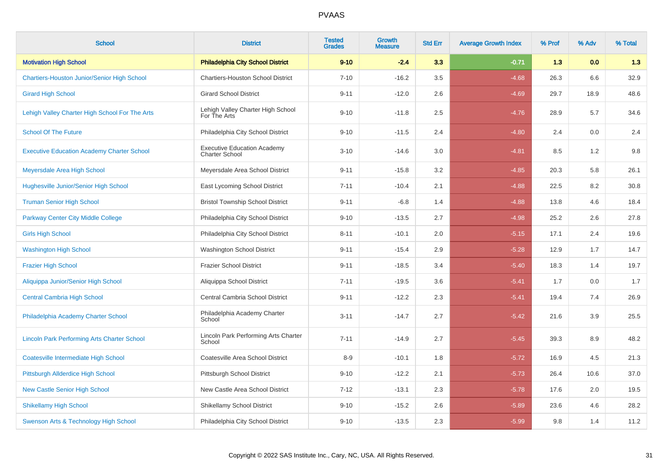| <b>School</b>                                      | <b>District</b>                                             | <b>Tested</b><br><b>Grades</b> | <b>Growth</b><br><b>Measure</b> | <b>Std Err</b> | <b>Average Growth Index</b> | % Prof | % Adv | % Total |
|----------------------------------------------------|-------------------------------------------------------------|--------------------------------|---------------------------------|----------------|-----------------------------|--------|-------|---------|
| <b>Motivation High School</b>                      | <b>Philadelphia City School District</b>                    | $9 - 10$                       | $-2.4$                          | 3.3            | $-0.71$                     | 1.3    | 0.0   | 1.3     |
| <b>Chartiers-Houston Junior/Senior High School</b> | <b>Chartiers-Houston School District</b>                    | $7 - 10$                       | $-16.2$                         | 3.5            | $-4.68$                     | 26.3   | 6.6   | 32.9    |
| <b>Girard High School</b>                          | <b>Girard School District</b>                               | $9 - 11$                       | $-12.0$                         | 2.6            | $-4.69$                     | 29.7   | 18.9  | 48.6    |
| Lehigh Valley Charter High School For The Arts     | Lehigh Valley Charter High School<br>For The Arts           | $9 - 10$                       | $-11.8$                         | 2.5            | $-4.76$                     | 28.9   | 5.7   | 34.6    |
| <b>School Of The Future</b>                        | Philadelphia City School District                           | $9 - 10$                       | $-11.5$                         | 2.4            | $-4.80$                     | 2.4    | 0.0   | 2.4     |
| <b>Executive Education Academy Charter School</b>  | <b>Executive Education Academy</b><br><b>Charter School</b> | $3 - 10$                       | $-14.6$                         | 3.0            | $-4.81$                     | 8.5    | 1.2   | $9.8\,$ |
| Meyersdale Area High School                        | Meyersdale Area School District                             | $9 - 11$                       | $-15.8$                         | 3.2            | $-4.85$                     | 20.3   | 5.8   | 26.1    |
| <b>Hughesville Junior/Senior High School</b>       | East Lycoming School District                               | $7 - 11$                       | $-10.4$                         | 2.1            | $-4.88$                     | 22.5   | 8.2   | 30.8    |
| <b>Truman Senior High School</b>                   | <b>Bristol Township School District</b>                     | $9 - 11$                       | $-6.8$                          | 1.4            | $-4.88$                     | 13.8   | 4.6   | 18.4    |
| <b>Parkway Center City Middle College</b>          | Philadelphia City School District                           | $9 - 10$                       | $-13.5$                         | 2.7            | $-4.98$                     | 25.2   | 2.6   | 27.8    |
| <b>Girls High School</b>                           | Philadelphia City School District                           | $8 - 11$                       | $-10.1$                         | 2.0            | $-5.15$                     | 17.1   | 2.4   | 19.6    |
| <b>Washington High School</b>                      | <b>Washington School District</b>                           | $9 - 11$                       | $-15.4$                         | 2.9            | $-5.28$                     | 12.9   | 1.7   | 14.7    |
| <b>Frazier High School</b>                         | <b>Frazier School District</b>                              | $9 - 11$                       | $-18.5$                         | 3.4            | $-5.40$                     | 18.3   | 1.4   | 19.7    |
| Aliquippa Junior/Senior High School                | Aliquippa School District                                   | $7 - 11$                       | $-19.5$                         | 3.6            | $-5.41$                     | 1.7    | 0.0   | 1.7     |
| <b>Central Cambria High School</b>                 | Central Cambria School District                             | $9 - 11$                       | $-12.2$                         | 2.3            | $-5.41$                     | 19.4   | 7.4   | 26.9    |
| Philadelphia Academy Charter School                | Philadelphia Academy Charter<br>School                      | $3 - 11$                       | $-14.7$                         | 2.7            | $-5.42$                     | 21.6   | 3.9   | 25.5    |
| <b>Lincoln Park Performing Arts Charter School</b> | Lincoln Park Performing Arts Charter<br>School              | $7 - 11$                       | $-14.9$                         | 2.7            | $-5.45$                     | 39.3   | 8.9   | 48.2    |
| <b>Coatesville Intermediate High School</b>        | Coatesville Area School District                            | $8-9$                          | $-10.1$                         | 1.8            | $-5.72$                     | 16.9   | 4.5   | 21.3    |
| Pittsburgh Allderdice High School                  | Pittsburgh School District                                  | $9 - 10$                       | $-12.2$                         | 2.1            | $-5.73$                     | 26.4   | 10.6  | 37.0    |
| <b>New Castle Senior High School</b>               | New Castle Area School District                             | $7 - 12$                       | $-13.1$                         | 2.3            | $-5.78$                     | 17.6   | 2.0   | 19.5    |
| <b>Shikellamy High School</b>                      | <b>Shikellamy School District</b>                           | $9 - 10$                       | $-15.2$                         | 2.6            | $-5.89$                     | 23.6   | 4.6   | 28.2    |
| Swenson Arts & Technology High School              | Philadelphia City School District                           | $9 - 10$                       | $-13.5$                         | 2.3            | $-5.99$                     | 9.8    | 1.4   | 11.2    |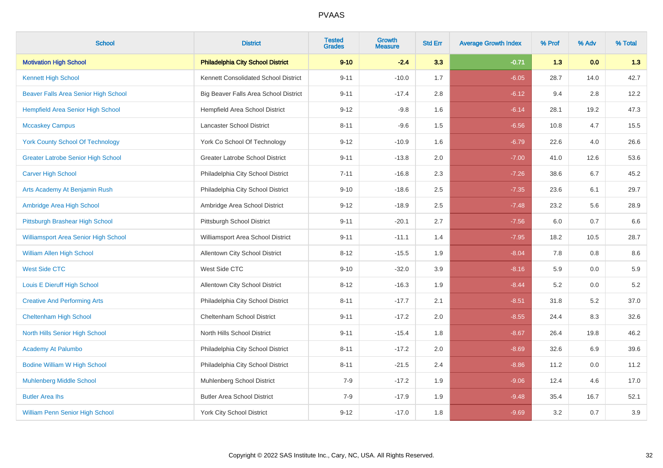| <b>School</b>                               | <b>District</b>                          | <b>Tested</b><br><b>Grades</b> | Growth<br><b>Measure</b> | <b>Std Err</b> | <b>Average Growth Index</b> | % Prof | % Adv | % Total |
|---------------------------------------------|------------------------------------------|--------------------------------|--------------------------|----------------|-----------------------------|--------|-------|---------|
| <b>Motivation High School</b>               | <b>Philadelphia City School District</b> | $9 - 10$                       | $-2.4$                   | 3.3            | $-0.71$                     | 1.3    | 0.0   | 1.3     |
| <b>Kennett High School</b>                  | Kennett Consolidated School District     | $9 - 11$                       | $-10.0$                  | 1.7            | $-6.05$                     | 28.7   | 14.0  | 42.7    |
| Beaver Falls Area Senior High School        | Big Beaver Falls Area School District    | $9 - 11$                       | $-17.4$                  | 2.8            | $-6.12$                     | 9.4    | 2.8   | 12.2    |
| <b>Hempfield Area Senior High School</b>    | Hempfield Area School District           | $9 - 12$                       | $-9.8$                   | 1.6            | $-6.14$                     | 28.1   | 19.2  | 47.3    |
| <b>Mccaskey Campus</b>                      | Lancaster School District                | $8 - 11$                       | $-9.6$                   | 1.5            | $-6.56$                     | 10.8   | 4.7   | 15.5    |
| <b>York County School Of Technology</b>     | York Co School Of Technology             | $9 - 12$                       | $-10.9$                  | 1.6            | $-6.79$                     | 22.6   | 4.0   | 26.6    |
| <b>Greater Latrobe Senior High School</b>   | Greater Latrobe School District          | $9 - 11$                       | $-13.8$                  | 2.0            | $-7.00$                     | 41.0   | 12.6  | 53.6    |
| <b>Carver High School</b>                   | Philadelphia City School District        | $7 - 11$                       | $-16.8$                  | 2.3            | $-7.26$                     | 38.6   | 6.7   | 45.2    |
| Arts Academy At Benjamin Rush               | Philadelphia City School District        | $9 - 10$                       | $-18.6$                  | 2.5            | $-7.35$                     | 23.6   | 6.1   | 29.7    |
| Ambridge Area High School                   | Ambridge Area School District            | $9 - 12$                       | $-18.9$                  | 2.5            | $-7.48$                     | 23.2   | 5.6   | 28.9    |
| Pittsburgh Brashear High School             | Pittsburgh School District               | $9 - 11$                       | $-20.1$                  | 2.7            | $-7.56$                     | 6.0    | 0.7   | 6.6     |
| <b>Williamsport Area Senior High School</b> | Williamsport Area School District        | $9 - 11$                       | $-11.1$                  | 1.4            | $-7.95$                     | 18.2   | 10.5  | 28.7    |
| <b>William Allen High School</b>            | Allentown City School District           | $8 - 12$                       | $-15.5$                  | 1.9            | $-8.04$                     | 7.8    | 0.8   | $8.6\,$ |
| <b>West Side CTC</b>                        | West Side CTC                            | $9 - 10$                       | $-32.0$                  | 3.9            | $-8.16$                     | 5.9    | 0.0   | 5.9     |
| Louis E Dieruff High School                 | <b>Allentown City School District</b>    | $8 - 12$                       | $-16.3$                  | 1.9            | $-8.44$                     | 5.2    | 0.0   | $5.2\,$ |
| <b>Creative And Performing Arts</b>         | Philadelphia City School District        | $8 - 11$                       | $-17.7$                  | 2.1            | $-8.51$                     | 31.8   | 5.2   | 37.0    |
| <b>Cheltenham High School</b>               | Cheltenham School District               | $9 - 11$                       | $-17.2$                  | $2.0\,$        | $-8.55$                     | 24.4   | 8.3   | 32.6    |
| North Hills Senior High School              | North Hills School District              | $9 - 11$                       | $-15.4$                  | 1.8            | $-8.67$                     | 26.4   | 19.8  | 46.2    |
| <b>Academy At Palumbo</b>                   | Philadelphia City School District        | $8 - 11$                       | $-17.2$                  | 2.0            | $-8.69$                     | 32.6   | 6.9   | 39.6    |
| <b>Bodine William W High School</b>         | Philadelphia City School District        | $8 - 11$                       | $-21.5$                  | 2.4            | $-8.86$                     | 11.2   | 0.0   | 11.2    |
| <b>Muhlenberg Middle School</b>             | Muhlenberg School District               | $7-9$                          | $-17.2$                  | 1.9            | $-9.06$                     | 12.4   | 4.6   | 17.0    |
| <b>Butler Area lhs</b>                      | <b>Butler Area School District</b>       | $7-9$                          | $-17.9$                  | 1.9            | $-9.48$                     | 35.4   | 16.7  | 52.1    |
| <b>William Penn Senior High School</b>      | <b>York City School District</b>         | $9 - 12$                       | $-17.0$                  | 1.8            | $-9.69$                     | 3.2    | 0.7   | 3.9     |